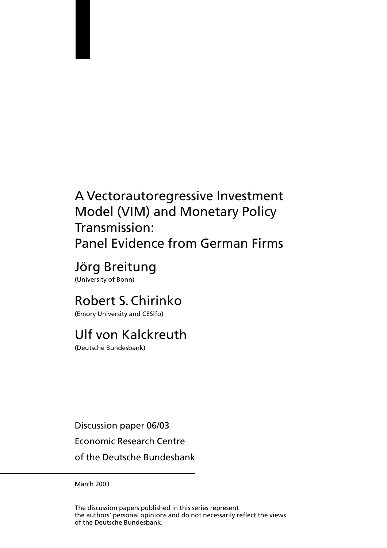# A Vectorautoregressive Investment Model (VIM) and Monetary Policy Transmission: Panel Evidence from German Firms

# Jörg Breitung

(University of Bonn)

# Robert S. Chirinko

(Emory University and CESifo)

# Ulf von Kalckreuth

(Deutsche Bundesbank)

Discussion paper 06/03 Economic Research Centre

of the Deutsche Bundesbank

March 2003

The discussion papers published in this series represent the authors' personal opinions and do not necessarily reflect the views of the Deutsche Bundesbank.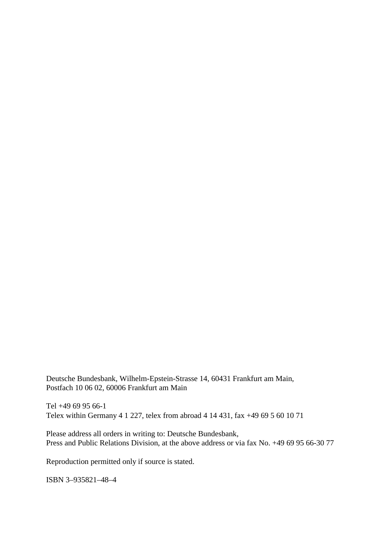Deutsche Bundesbank, Wilhelm-Epstein-Strasse 14, 60431 Frankfurt am Main, Postfach 10 06 02, 60006 Frankfurt am Main

Tel +49 69 95 66-1 Telex within Germany 4 1 227, telex from abroad 4 14 431, fax +49 69 5 60 10 71

Please address all orders in writing to: Deutsche Bundesbank, Press and Public Relations Division, at the above address or via fax No. +49 69 95 66-30 77

Reproduction permitted only if source is stated.

ISBN 3–935821–48–4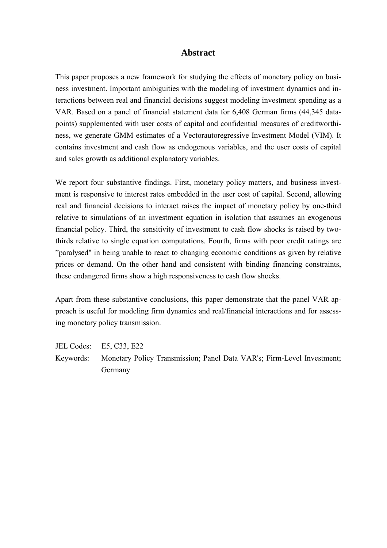### **Abstract**

This paper proposes a new framework for studying the effects of monetary policy on business investment. Important ambiguities with the modeling of investment dynamics and interactions between real and financial decisions suggest modeling investment spending as a VAR. Based on a panel of financial statement data for 6,408 German firms (44,345 datapoints) supplemented with user costs of capital and confidential measures of creditworthiness, we generate GMM estimates of a Vectorautoregressive Investment Model (VIM). It contains investment and cash flow as endogenous variables, and the user costs of capital and sales growth as additional explanatory variables.

We report four substantive findings. First, monetary policy matters, and business investment is responsive to interest rates embedded in the user cost of capital. Second, allowing real and financial decisions to interact raises the impact of monetary policy by one-third relative to simulations of an investment equation in isolation that assumes an exogenous financial policy. Third, the sensitivity of investment to cash flow shocks is raised by twothirds relative to single equation computations. Fourth, firms with poor credit ratings are "paralysed" in being unable to react to changing economic conditions as given by relative prices or demand. On the other hand and consistent with binding financing constraints, these endangered firms show a high responsiveness to cash flow shocks.

Apart from these substantive conclusions, this paper demonstrate that the panel VAR approach is useful for modeling firm dynamics and real/financial interactions and for assessing monetary policy transmission.

JEL Codes: E5, C33, E22 Keywords: Monetary Policy Transmission; Panel Data VAR's; Firm-Level Investment; Germany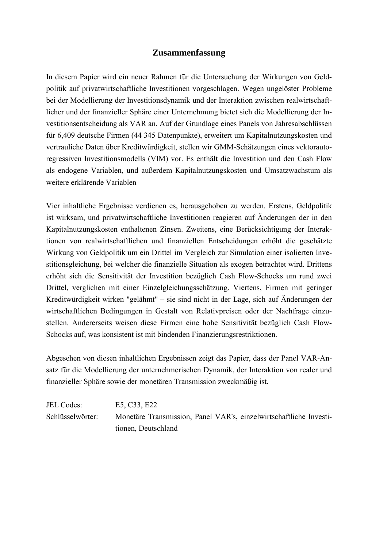## **Zusammenfassung**

In diesem Papier wird ein neuer Rahmen für die Untersuchung der Wirkungen von Geldpolitik auf privatwirtschaftliche Investitionen vorgeschlagen. Wegen ungelöster Probleme bei der Modellierung der Investitionsdynamik und der Interaktion zwischen realwirtschaftlicher und der finanzieller Sphäre einer Unternehmung bietet sich die Modellierung der Investitionsentscheidung als VAR an. Auf der Grundlage eines Panels von Jahresabschlüssen für 6,409 deutsche Firmen (44 345 Datenpunkte), erweitert um Kapitalnutzungskosten und vertrauliche Daten über Kreditwürdigkeit, stellen wir GMM-Schätzungen eines vektorautoregressiven Investitionsmodells (VIM) vor. Es enthält die Investition und den Cash Flow als endogene Variablen, und außerdem Kapitalnutzungskosten und Umsatzwachstum als weitere erklärende Variablen

Vier inhaltliche Ergebnisse verdienen es, herausgehoben zu werden. Erstens, Geldpolitik ist wirksam, und privatwirtschaftliche Investitionen reagieren auf Änderungen der in den Kapitalnutzungskosten enthaltenen Zinsen. Zweitens, eine Berücksichtigung der Interaktionen von realwirtschaftlichen und finanziellen Entscheidungen erhöht die geschätzte Wirkung von Geldpolitik um ein Drittel im Vergleich zur Simulation einer isolierten Investitionsgleichung, bei welcher die finanzielle Situation als exogen betrachtet wird. Drittens erhöht sich die Sensitivität der Investition bezüglich Cash Flow-Schocks um rund zwei Drittel, verglichen mit einer Einzelgleichungsschätzung. Viertens, Firmen mit geringer Kreditwürdigkeit wirken "gelähmt" – sie sind nicht in der Lage, sich auf Änderungen der wirtschaftlichen Bedingungen in Gestalt von Relativpreisen oder der Nachfrage einzustellen. Andererseits weisen diese Firmen eine hohe Sensitivität bezüglich Cash Flow-Schocks auf, was konsistent ist mit bindenden Finanzierungsrestriktionen.

Abgesehen von diesen inhaltlichen Ergebnissen zeigt das Papier, dass der Panel VAR-Ansatz für die Modellierung der unternehmerischen Dynamik, der Interaktion von realer und finanzieller Sphäre sowie der monetären Transmission zweckmäßig ist.

JEL Codes: E5, C33, E22 Schlüsselwörter: Monetäre Transmission, Panel VAR's, einzelwirtschaftliche Investitionen, Deutschland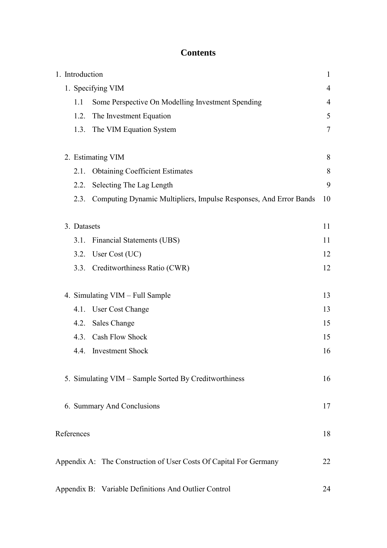## **Contents**

| 1. Introduction |                                                                   | $\mathbf{1}$   |
|-----------------|-------------------------------------------------------------------|----------------|
|                 | 1. Specifying VIM                                                 | $\overline{4}$ |
| 1.1             | Some Perspective On Modelling Investment Spending                 | 4              |
| 1.2.            | The Investment Equation                                           | 5              |
| 1.3.            | The VIM Equation System                                           | 7              |
|                 | 2. Estimating VIM                                                 | 8              |
| 2.1.            | <b>Obtaining Coefficient Estimates</b>                            | 8              |
| 2.2.            | Selecting The Lag Length                                          | 9              |
| 2.3.            | Computing Dynamic Multipliers, Impulse Responses, And Error Bands | 10             |
| 3. Datasets     |                                                                   | 11             |
| 3.1.            | <b>Financial Statements (UBS)</b>                                 | 11             |
| 3.2.            | User Cost (UC)                                                    | 12             |
| 3.3.            | Creditworthiness Ratio (CWR)                                      | 12             |
|                 | 4. Simulating VIM - Full Sample                                   | 13             |
|                 | 4.1. User Cost Change                                             | 13             |
| 4.2.            | <b>Sales Change</b>                                               | 15             |
| 4.3.            | <b>Cash Flow Shock</b>                                            | 15             |
|                 | 4.4. Investment Shock                                             | 16             |
|                 | 5. Simulating VIM – Sample Sorted By Creditworthiness             | 16             |
|                 | 6. Summary And Conclusions                                        | 17             |
| References      |                                                                   | 18             |
|                 | Appendix A: The Construction of User Costs Of Capital For Germany | 22             |
|                 | Appendix B: Variable Definitions And Outlier Control              | 24             |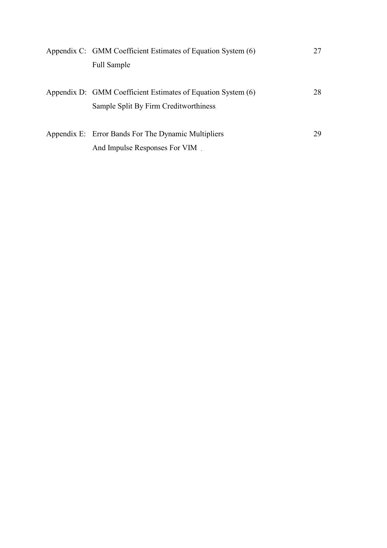| Appendix C: GMM Coefficient Estimates of Equation System (6) | 27 |
|--------------------------------------------------------------|----|
| <b>Full Sample</b>                                           |    |
|                                                              |    |
| Appendix D: GMM Coefficient Estimates of Equation System (6) | 28 |
| Sample Split By Firm Creditworthiness                        |    |
|                                                              |    |
| Appendix E: Error Bands For The Dynamic Multipliers          | 29 |
| And Impulse Responses For VIM.                               |    |
|                                                              |    |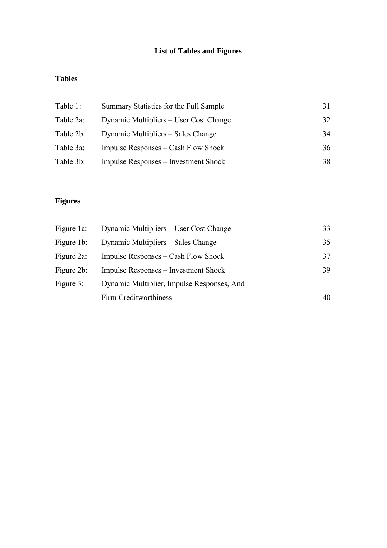## **List of Tables and Figures**

## **Tables**

| Table 1:  | Summary Statistics for the Full Sample      | 31. |
|-----------|---------------------------------------------|-----|
| Table 2a: | Dynamic Multipliers – User Cost Change      | 32  |
| Table 2b  | Dynamic Multipliers – Sales Change          | 34  |
| Table 3a: | Impulse Responses – Cash Flow Shock         | 36  |
| Table 3b: | <b>Impulse Responses – Investment Shock</b> | 38. |

## **Figures**

| Figure 1a: | Dynamic Multipliers – User Cost Change      | 33 |
|------------|---------------------------------------------|----|
| Figure 1b: | Dynamic Multipliers – Sales Change          | 35 |
| Figure 2a: | Impulse Responses – Cash Flow Shock         | 37 |
| Figure 2b: | <b>Impulse Responses – Investment Shock</b> | 39 |
| Figure 3:  | Dynamic Multiplier, Impulse Responses, And  |    |
|            | Firm Creditworthiness                       | 40 |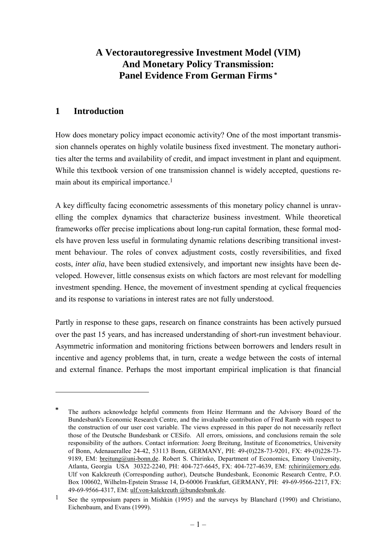## **A Vectorautoregressive Investment Model (VIM) And Monetary Policy Transmission: Panel Evidence From German Firms \***

## **1 Introduction**

 $\overline{a}$ 

How does monetary policy impact economic activity? One of the most important transmission channels operates on highly volatile business fixed investment. The monetary authorities alter the terms and availability of credit, and impact investment in plant and equipment. While this textbook version of one transmission channel is widely accepted, questions remain about its empirical importance.1

A key difficulty facing econometric assessments of this monetary policy channel is unravelling the complex dynamics that characterize business investment. While theoretical frameworks offer precise implications about long-run capital formation, these formal models have proven less useful in formulating dynamic relations describing transitional investment behaviour. The roles of convex adjustment costs, costly reversibilities, and fixed costs, *inter alia*, have been studied extensively, and important new insights have been developed. However, little consensus exists on which factors are most relevant for modelling investment spending. Hence, the movement of investment spending at cyclical frequencies and its response to variations in interest rates are not fully understood.

Partly in response to these gaps, research on finance constraints has been actively pursued over the past 15 years, and has increased understanding of short-run investment behaviour. Asymmetric information and monitoring frictions between borrowers and lenders result in incentive and agency problems that, in turn, create a wedge between the costs of internal and external finance. Perhaps the most important empirical implication is that financial

**<sup>\*</sup>** The authors acknowledge helpful comments from Heinz Herrmann and the Advisory Board of the Bundesbank's Economic Research Centre, and the invaluable contribution of Fred Ramb with respect to the construction of our user cost variable. The views expressed in this paper do not necessarily reflect those of the Deutsche Bundesbank or CESifo. All errors, omissions, and conclusions remain the sole responsibility of the authors. Contact information: Joerg Breitung, Institute of Econometrics, University of Bonn, Adenauerallee 24-42, 53113 Bonn, GERMANY, PH: 49-(0)228-73-9201, FX: 49-(0)228-73- 9189, EM: breitung@uni-bonn.de. Robert S. Chirinko, Department of Economics, Emory University, Atlanta, Georgia USA 30322-2240, PH: 404-727-6645, FX: 404-727-4639, EM: rchirin@emory.edu. Ulf von Kalckreuth (Corresponding author), Deutsche Bundesbank, Economic Research Centre, P.O. Box 100602, Wilhelm-Epstein Strasse 14, D-60006 Frankfurt, GERMANY, PH: 49-69-9566-2217, FX: 49-69-9566-4317, EM: ulf.von-kalckreuth @bundesbank.de.

<sup>1</sup> See the symposium papers in Mishkin (1995) and the surveys by Blanchard (1990) and Christiano, Eichenbaum, and Evans (1999).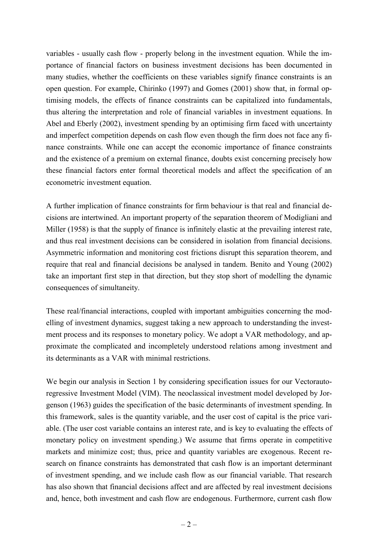variables - usually cash flow - properly belong in the investment equation. While the importance of financial factors on business investment decisions has been documented in many studies, whether the coefficients on these variables signify finance constraints is an open question. For example, Chirinko (1997) and Gomes (2001) show that, in formal optimising models, the effects of finance constraints can be capitalized into fundamentals, thus altering the interpretation and role of financial variables in investment equations. In Abel and Eberly (2002), investment spending by an optimising firm faced with uncertainty and imperfect competition depends on cash flow even though the firm does not face any finance constraints. While one can accept the economic importance of finance constraints and the existence of a premium on external finance, doubts exist concerning precisely how these financial factors enter formal theoretical models and affect the specification of an econometric investment equation.

A further implication of finance constraints for firm behaviour is that real and financial decisions are intertwined. An important property of the separation theorem of Modigliani and Miller (1958) is that the supply of finance is infinitely elastic at the prevailing interest rate, and thus real investment decisions can be considered in isolation from financial decisions. Asymmetric information and monitoring cost frictions disrupt this separation theorem, and require that real and financial decisions be analysed in tandem. Benito and Young (2002) take an important first step in that direction, but they stop short of modelling the dynamic consequences of simultaneity.

These real/financial interactions, coupled with important ambiguities concerning the modelling of investment dynamics, suggest taking a new approach to understanding the investment process and its responses to monetary policy. We adopt a VAR methodology, and approximate the complicated and incompletely understood relations among investment and its determinants as a VAR with minimal restrictions.

We begin our analysis in Section 1 by considering specification issues for our Vectorautoregressive Investment Model (VIM). The neoclassical investment model developed by Jorgenson (1963) guides the specification of the basic determinants of investment spending. In this framework, sales is the quantity variable, and the user cost of capital is the price variable. (The user cost variable contains an interest rate, and is key to evaluating the effects of monetary policy on investment spending.) We assume that firms operate in competitive markets and minimize cost; thus, price and quantity variables are exogenous. Recent research on finance constraints has demonstrated that cash flow is an important determinant of investment spending, and we include cash flow as our financial variable. That research has also shown that financial decisions affect and are affected by real investment decisions and, hence, both investment and cash flow are endogenous. Furthermore, current cash flow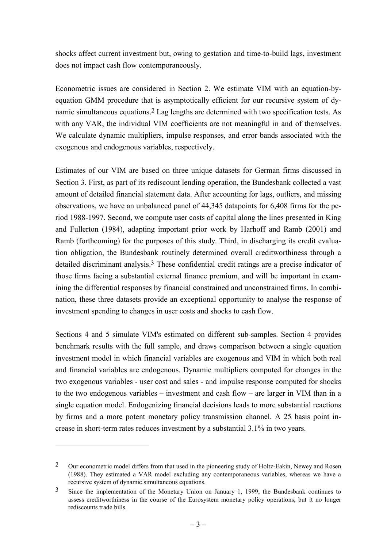shocks affect current investment but, owing to gestation and time-to-build lags, investment does not impact cash flow contemporaneously.

Econometric issues are considered in Section 2. We estimate VIM with an equation-byequation GMM procedure that is asymptotically efficient for our recursive system of dynamic simultaneous equations.2 Lag lengths are determined with two specification tests. As with any VAR, the individual VIM coefficients are not meaningful in and of themselves. We calculate dynamic multipliers, impulse responses, and error bands associated with the exogenous and endogenous variables, respectively.

Estimates of our VIM are based on three unique datasets for German firms discussed in Section 3. First, as part of its rediscount lending operation, the Bundesbank collected a vast amount of detailed financial statement data. After accounting for lags, outliers, and missing observations, we have an unbalanced panel of 44,345 datapoints for 6,408 firms for the period 1988-1997. Second, we compute user costs of capital along the lines presented in King and Fullerton (1984), adapting important prior work by Harhoff and Ramb (2001) and Ramb (forthcoming) for the purposes of this study. Third, in discharging its credit evaluation obligation, the Bundesbank routinely determined overall creditworthiness through a detailed discriminant analysis.<sup>3</sup> These confidential credit ratings are a precise indicator of those firms facing a substantial external finance premium, and will be important in examining the differential responses by financial constrained and unconstrained firms. In combination, these three datasets provide an exceptional opportunity to analyse the response of investment spending to changes in user costs and shocks to cash flow.

Sections 4 and 5 simulate VIM's estimated on different sub-samples. Section 4 provides benchmark results with the full sample, and draws comparison between a single equation investment model in which financial variables are exogenous and VIM in which both real and financial variables are endogenous. Dynamic multipliers computed for changes in the two exogenous variables - user cost and sales - and impulse response computed for shocks to the two endogenous variables – investment and cash flow – are larger in VIM than in a single equation model. Endogenizing financial decisions leads to more substantial reactions by firms and a more potent monetary policy transmission channel. A 25 basis point increase in short-term rates reduces investment by a substantial 3.1% in two years.

 $\overline{a}$ 

<sup>&</sup>lt;sup>2</sup> Our econometric model differs from that used in the pioneering study of Holtz-Eakin, Newey and Rosen (1988). They estimated a VAR model excluding any contemporaneous variables, whereas we have a recursive system of dynamic simultaneous equations.

<sup>&</sup>lt;sup>3</sup> Since the implementation of the Monetary Union on January 1, 1999, the Bundesbank continues to assess creditworthiness in the course of the Eurosystem monetary policy operations, but it no longer rediscounts trade bills.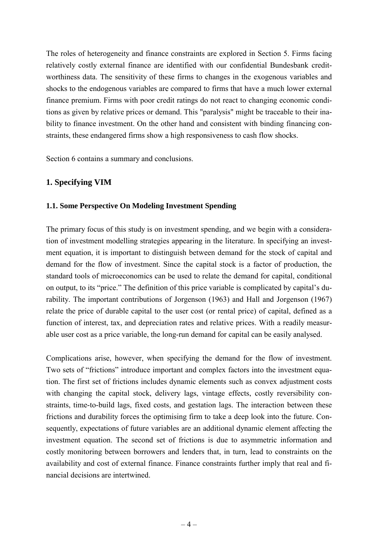The roles of heterogeneity and finance constraints are explored in Section 5. Firms facing relatively costly external finance are identified with our confidential Bundesbank creditworthiness data. The sensitivity of these firms to changes in the exogenous variables and shocks to the endogenous variables are compared to firms that have a much lower external finance premium. Firms with poor credit ratings do not react to changing economic conditions as given by relative prices or demand. This "paralysis" might be traceable to their inability to finance investment. On the other hand and consistent with binding financing constraints, these endangered firms show a high responsiveness to cash flow shocks.

Section 6 contains a summary and conclusions.

## **1. Specifying VIM**

#### **1.1. Some Perspective On Modeling Investment Spending**

The primary focus of this study is on investment spending, and we begin with a consideration of investment modelling strategies appearing in the literature. In specifying an investment equation, it is important to distinguish between demand for the stock of capital and demand for the flow of investment. Since the capital stock is a factor of production, the standard tools of microeconomics can be used to relate the demand for capital, conditional on output, to its "price." The definition of this price variable is complicated by capital's durability. The important contributions of Jorgenson (1963) and Hall and Jorgenson (1967) relate the price of durable capital to the user cost (or rental price) of capital, defined as a function of interest, tax, and depreciation rates and relative prices. With a readily measurable user cost as a price variable, the long-run demand for capital can be easily analysed.

Complications arise, however, when specifying the demand for the flow of investment. Two sets of "frictions" introduce important and complex factors into the investment equation. The first set of frictions includes dynamic elements such as convex adjustment costs with changing the capital stock, delivery lags, vintage effects, costly reversibility constraints, time-to-build lags, fixed costs, and gestation lags. The interaction between these frictions and durability forces the optimising firm to take a deep look into the future. Consequently, expectations of future variables are an additional dynamic element affecting the investment equation. The second set of frictions is due to asymmetric information and costly monitoring between borrowers and lenders that, in turn, lead to constraints on the availability and cost of external finance. Finance constraints further imply that real and financial decisions are intertwined.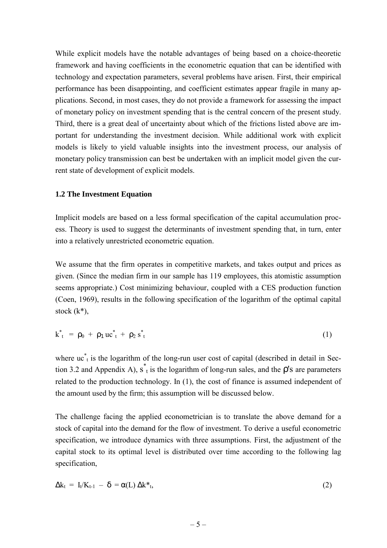While explicit models have the notable advantages of being based on a choice-theoretic framework and having coefficients in the econometric equation that can be identified with technology and expectation parameters, several problems have arisen. First, their empirical performance has been disappointing, and coefficient estimates appear fragile in many applications. Second, in most cases, they do not provide a framework for assessing the impact of monetary policy on investment spending that is the central concern of the present study. Third, there is a great deal of uncertainty about which of the frictions listed above are important for understanding the investment decision. While additional work with explicit models is likely to yield valuable insights into the investment process, our analysis of monetary policy transmission can best be undertaken with an implicit model given the current state of development of explicit models.

#### **1.2 The Investment Equation**

Implicit models are based on a less formal specification of the capital accumulation process. Theory is used to suggest the determinants of investment spending that, in turn, enter into a relatively unrestricted econometric equation.

We assume that the firm operates in competitive markets, and takes output and prices as given. (Since the median firm in our sample has 119 employees, this atomistic assumption seems appropriate.) Cost minimizing behaviour, coupled with a CES production function (Coen, 1969), results in the following specification of the logarithm of the optimal capital stock (k\*),

$$
k_{t}^{*} = \rho_{0} + \rho_{1} u c_{t}^{*} + \rho_{2} s_{t}^{*}
$$
 (1)

where  $\mathrm{uc}^*$  is the logarithm of the long-run user cost of capital (described in detail in Section 3.2 and Appendix A),  $s_t$  is the logarithm of long-run sales, and the  $\rho$ 's are parameters related to the production technology. In (1), the cost of finance is assumed independent of the amount used by the firm; this assumption will be discussed below.

The challenge facing the applied econometrician is to translate the above demand for a stock of capital into the demand for the flow of investment. To derive a useful econometric specification, we introduce dynamics with three assumptions. First, the adjustment of the capital stock to its optimal level is distributed over time according to the following lag specification,

$$
\Delta k_t = I_t/K_{t-1} - \delta = \alpha(L) \Delta k^*_{t}, \qquad (2)
$$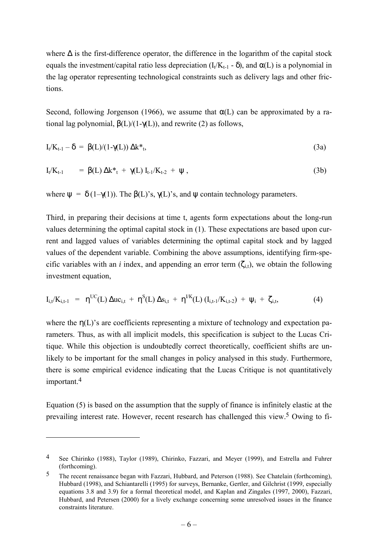where ∆ is the first-difference operator, the difference in the logarithm of the capital stock equals the investment/capital ratio less depreciation  $(I_t/K_{t-1} - \delta)$ , and  $\alpha(L)$  is a polynomial in the lag operator representing technological constraints such as delivery lags and other frictions.

Second, following Jorgenson (1966), we assume that  $\alpha(L)$  can be approximated by a rational lag polynomial,  $β(L)/(1-γ(L))$ , and rewrite (2) as follows,

$$
I_t/K_{t-1} - \delta = \beta(L)/(1-\gamma(L)) \Delta k^*_{t}, \qquad (3a)
$$

$$
I_t/K_{t-1} = \beta(L) \Delta k^*_{t} + \gamma(L) I_{t-1}/K_{t-2} + \psi, \qquad (3b)
$$

where  $\psi = \delta (1-\gamma(1))$ . The  $\beta(L)$ 's,  $\gamma(L)$ 's, and  $\psi$  contain technology parameters.

Third, in preparing their decisions at time t, agents form expectations about the long-run values determining the optimal capital stock in (1). These expectations are based upon current and lagged values of variables determining the optimal capital stock and by lagged values of the dependent variable. Combining the above assumptions, identifying firm-specific variables with an *i* index, and appending an error term  $(\zeta_{i,t})$ , we obtain the following investment equation,

$$
I_{i,t}/K_{i,t-1} = \eta^{UC}(L) \Delta u c_{i,t} + \eta^{S}(L) \Delta s_{i,t} + \eta^{UK}(L) (I_{i,t-1}/K_{i,t-2}) + \psi_i + \zeta_{i,t}, \qquad (4)
$$

where the  $\eta(L)$ 's are coefficients representing a mixture of technology and expectation parameters. Thus, as with all implicit models, this specification is subject to the Lucas Critique. While this objection is undoubtedly correct theoretically, coefficient shifts are unlikely to be important for the small changes in policy analysed in this study. Furthermore, there is some empirical evidence indicating that the Lucas Critique is not quantitatively important.4

Equation (5) is based on the assumption that the supply of finance is infinitely elastic at the prevailing interest rate. However, recent research has challenged this view.5 Owing to fi-

 $\overline{a}$ 

<sup>4</sup> See Chirinko (1988), Taylor (1989), Chirinko, Fazzari, and Meyer (1999), and Estrella and Fuhrer (forthcoming).

<sup>5</sup> The recent renaissance began with Fazzari, Hubbard, and Peterson (1988). See Chatelain (forthcoming), Hubbard (1998), and Schiantarelli (1995) for surveys, Bernanke, Gertler, and Gilchrist (1999, especially equations 3.8 and 3.9) for a formal theoretical model, and Kaplan and Zingales (1997, 2000), Fazzari, Hubbard, and Petersen (2000) for a lively exchange concerning some unresolved issues in the finance constraints literature.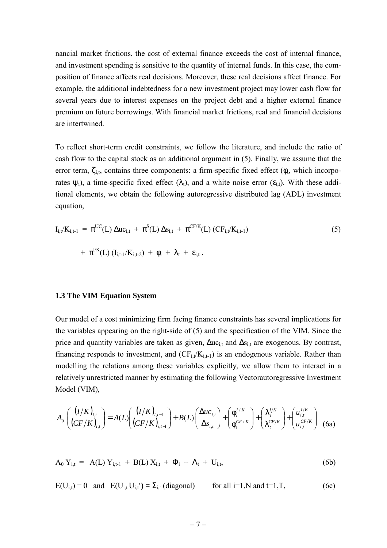nancial market frictions, the cost of external finance exceeds the cost of internal finance, and investment spending is sensitive to the quantity of internal funds. In this case, the composition of finance affects real decisions. Moreover, these real decisions affect finance. For example, the additional indebtedness for a new investment project may lower cash flow for several years due to interest expenses on the project debt and a higher external finance premium on future borrowings. With financial market frictions, real and financial decisions are intertwined.

To reflect short-term credit constraints, we follow the literature, and include the ratio of cash flow to the capital stock as an additional argument in (5). Finally, we assume that the error term,  $\zeta_{i,t}$ , contains three components: a firm-specific fixed effect ( $\phi_t$ , which incorporates  $\psi_i$ ), a time-specific fixed effect  $(\lambda_i)$ , and a white noise error  $(\epsilon_{i,t})$ . With these additional elements, we obtain the following autoregressive distributed lag (ADL) investment equation,

$$
I_{i,t}/K_{i,t-1} = \pi^{UC}(L) \Delta u c_{i,t} + \pi^{S}(L) \Delta s_{i,t} + \pi^{CF/K}(L) (CF_{i,t}/K_{i,t-1})
$$
\n
$$
+ \pi^{UK}(L) (I_{i,t-1}/K_{i,t-2}) + \phi_i + \lambda_t + \varepsilon_{i,t}.
$$
\n(5)

#### **1.3 The VIM Equation System**

Our model of a cost minimizing firm facing finance constraints has several implications for the variables appearing on the right-side of (5) and the specification of the VIM. Since the price and quantity variables are taken as given,  $\Delta u c_{i,t}$  and  $\Delta s_{i,t}$  are exogenous. By contrast, financing responds to investment, and  $(CF_{i,t}/K_{i,t-1})$  is an endogenous variable. Rather than modelling the relations among these variables explicitly, we allow them to interact in a relatively unrestricted manner by estimating the following Vectorautoregressive Investment Model (VIM),

$$
A_0 \left( \frac{(I/K)_{i,t}}{(CF/K)_{i,t}} \right) = A(L) \left( \frac{(I/K)_{i,t-1}}{(CF/K)_{i,t-1}} \right) + B(L) \left( \frac{\Delta u c_{i,t}}{\Delta s_{i,t}} \right) + \left( \frac{\phi_i^{I/K}}{\phi_i^{CF/K}} \right) + \left( \frac{\lambda_i^{I/K}}{\lambda_i^{CF/K}} \right) + \left( \frac{u_{i,t}^{I/K}}{u_{i,t}^{CF/K}} \right) \tag{6a}
$$

$$
A_0 Y_{i,t} = A(L) Y_{i,t-1} + B(L) X_{i,t} + \Phi_i + \Lambda_t + U_{i,t}, \qquad (6b)
$$

 $E(U_{i,t}) = 0$  and  $E(U_{i,t} U_{i,t}) = \sum_{i,t} (diagonal)$  for all i=1,N and t=1,T, (6c)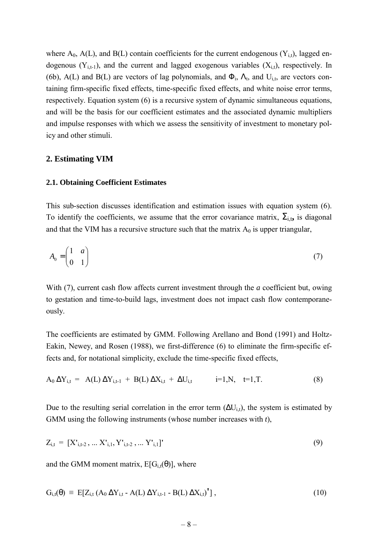where  $A_0$ ,  $A(L)$ , and  $B(L)$  contain coefficients for the current endogenous  $(Y_{i,t})$ , lagged endogenous  $(Y_{i,t-1})$ , and the current and lagged exogenous variables  $(X_{i,t})$ , respectively. In (6b), A(L) and B(L) are vectors of lag polynomials, and  $\Phi_i$ ,  $\Lambda_t$ , and  $U_{i,t}$ , are vectors containing firm-specific fixed effects, time-specific fixed effects, and white noise error terms, respectively. Equation system (6) is a recursive system of dynamic simultaneous equations, and will be the basis for our coefficient estimates and the associated dynamic multipliers and impulse responses with which we assess the sensitivity of investment to monetary policy and other stimuli.

#### **2. Estimating VIM**

#### **2.1. Obtaining Coefficient Estimates**

This sub-section discusses identification and estimation issues with equation system (6). To identify the coefficients, we assume that the error covariance matrix,  $\Sigma_{i,t}$ , is diagonal and that the VIM has a recursive structure such that the matrix  $A_0$  is upper triangular,

$$
A_0 = \begin{pmatrix} 1 & a \\ 0 & 1 \end{pmatrix} \tag{7}
$$

With (7), current cash flow affects current investment through the *a* coefficient but, owing to gestation and time-to-build lags, investment does not impact cash flow contemporaneously.

The coefficients are estimated by GMM. Following Arellano and Bond (1991) and Holtz-Eakin, Newey, and Rosen (1988), we first-difference (6) to eliminate the firm-specific effects and, for notational simplicity, exclude the time-specific fixed effects,

$$
A_0 \Delta Y_{i,t} = A(L) \Delta Y_{i,t-1} + B(L) \Delta X_{i,t} + \Delta U_{i,t} \qquad i=1,N, \quad t=1,T. \tag{8}
$$

Due to the resulting serial correlation in the error term  $(\Delta U_{i,t})$ , the system is estimated by GMM using the following instruments (whose number increases with *t*),

$$
Z_{i,t} = [X'_{i,t-2}, \dots X'_{i,1}, Y'_{i,t-2}, \dots Y'_{i,1}]'
$$
\n(9)

and the GMM moment matrix,  $E[G_{i,t}(\theta)]$ , where

$$
G_{i,t}(\theta) \equiv E[Z_{i,t} (A_0 \Delta Y_{i,t} - A(L) \Delta Y_{i,t-1} - B(L) \Delta X_{i,t})^{\dagger}], \qquad (10)
$$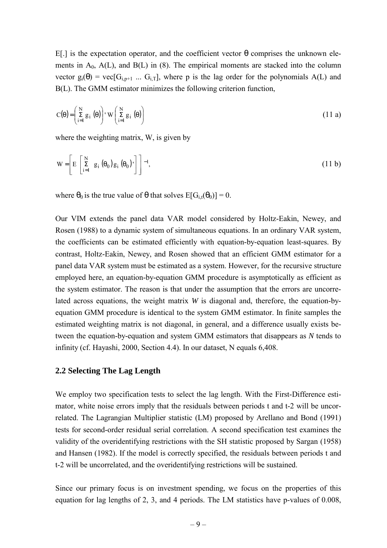E[.] is the expectation operator, and the coefficient vector θ comprises the unknown elements in  $A_0$ ,  $A(L)$ , and  $B(L)$  in (8). The empirical moments are stacked into the column vector  $g_i(\theta) = \text{vec}[G_{i,p+1} \dots G_{i,T}]$ , where p is the lag order for the polynomials A(L) and B(L). The GMM estimator minimizes the following criterion function,

$$
C(\theta) = \left(\sum_{i=1}^{N} g_i(\theta)\right) w\left(\sum_{i=1}^{N} g_i(\theta)\right)
$$
 (11 a)

where the weighting matrix, W, is given by

$$
W = \left[ E \left[ \sum_{i=1}^{N} g_i \left( \theta_0 \right) g_i \left( \theta_0 \right) \right] \right]^{-1}, \tag{11 b}
$$

where  $\theta_0$  is the true value of  $\theta$  that solves  $E[G_{i,t}(\theta_0)] = 0$ .

Our VIM extends the panel data VAR model considered by Holtz-Eakin, Newey, and Rosen (1988) to a dynamic system of simultaneous equations. In an ordinary VAR system, the coefficients can be estimated efficiently with equation-by-equation least-squares. By contrast, Holtz-Eakin, Newey, and Rosen showed that an efficient GMM estimator for a panel data VAR system must be estimated as a system. However, for the recursive structure employed here, an equation-by-equation GMM procedure is asymptotically as efficient as the system estimator. The reason is that under the assumption that the errors are uncorrelated across equations, the weight matrix *W* is diagonal and, therefore, the equation-byequation GMM procedure is identical to the system GMM estimator. In finite samples the estimated weighting matrix is not diagonal, in general, and a difference usually exists between the equation-by-equation and system GMM estimators that disappears as *N* tends to infinity (cf. Hayashi, 2000, Section 4.4). In our dataset, N equals 6,408.

#### **2.2 Selecting The Lag Length**

We employ two specification tests to select the lag length. With the First-Difference estimator, white noise errors imply that the residuals between periods t and t-2 will be uncorrelated. The Lagrangian Multiplier statistic (LM) proposed by Arellano and Bond (1991) tests for second-order residual serial correlation. A second specification test examines the validity of the overidentifying restrictions with the SH statistic proposed by Sargan (1958) and Hansen (1982). If the model is correctly specified, the residuals between periods t and t-2 will be uncorrelated, and the overidentifying restrictions will be sustained.

Since our primary focus is on investment spending, we focus on the properties of this equation for lag lengths of 2, 3, and 4 periods. The LM statistics have p-values of 0.008,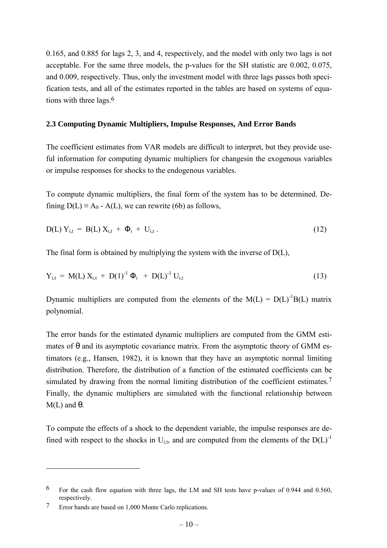0.165, and 0.885 for lags 2, 3, and 4, respectively, and the model with only two lags is not acceptable. For the same three models, the p-values for the SH statistic are 0.002, 0.075, and 0.009, respectively. Thus, only the investment model with three lags passes both specification tests, and all of the estimates reported in the tables are based on systems of equations with three lags.6

#### **2.3 Computing Dynamic Multipliers, Impulse Responses, And Error Bands**

The coefficient estimates from VAR models are difficult to interpret, but they provide useful information for computing dynamic multipliers for changesin the exogenous variables or impulse responses for shocks to the endogenous variables.

To compute dynamic multipliers, the final form of the system has to be determined. Defining  $D(L) \equiv A_0 - A(L)$ , we can rewrite (6b) as follows,

$$
D(L) Y_{i,t} = B(L) X_{i,t} + \Phi_i + U_{i,t}.
$$
 (12)

The final form is obtained by multiplying the system with the inverse of D(L),

$$
Y_{i,t} = M(L) X_{i,t} + D(1)^{-1} \Phi_i + D(L)^{-1} U_{i,t}
$$
\n(13)

Dynamic multipliers are computed from the elements of the  $M(L) = D(L)^{-1}B(L)$  matrix polynomial.

The error bands for the estimated dynamic multipliers are computed from the GMM estimates of  $\theta$  and its asymptotic covariance matrix. From the asymptotic theory of GMM estimators (e.g., Hansen, 1982), it is known that they have an asymptotic normal limiting distribution. Therefore, the distribution of a function of the estimated coefficients can be simulated by drawing from the normal limiting distribution of the coefficient estimates.<sup>7</sup> Finally, the dynamic multipliers are simulated with the functional relationship between  $M(L)$  and  $\theta$ .

To compute the effects of a shock to the dependent variable, the impulse responses are defined with respect to the shocks in  $U_{i,t}$ , and are computed from the elements of the  $D(L)^{-1}$ 

 $\overline{a}$ 

 $6$  For the cash flow equation with three lags, the LM and SH tests have p-values of 0.944 and 0.560. respectively.

<sup>7</sup> Error bands are based on 1,000 Monte Carlo replications.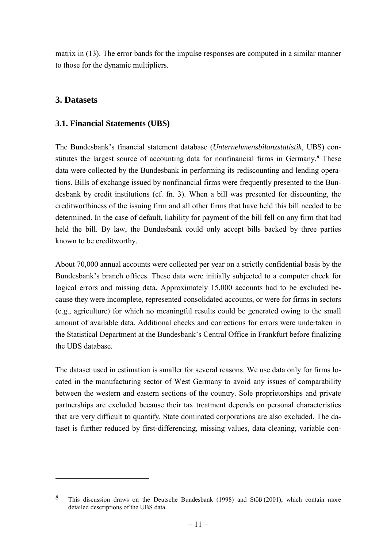matrix in (13). The error bands for the impulse responses are computed in a similar manner to those for the dynamic multipliers.

## **3. Datasets**

 $\overline{a}$ 

### **3.1. Financial Statements (UBS)**

The Bundesbank's financial statement database (*Unternehmensbilanzstatistik*, UBS) constitutes the largest source of accounting data for nonfinancial firms in Germany.<sup>8</sup> These data were collected by the Bundesbank in performing its rediscounting and lending operations. Bills of exchange issued by nonfinancial firms were frequently presented to the Bundesbank by credit institutions (cf. fn. 3). When a bill was presented for discounting, the creditworthiness of the issuing firm and all other firms that have held this bill needed to be determined. In the case of default, liability for payment of the bill fell on any firm that had held the bill. By law, the Bundesbank could only accept bills backed by three parties known to be creditworthy.

About 70,000 annual accounts were collected per year on a strictly confidential basis by the Bundesbank's branch offices. These data were initially subjected to a computer check for logical errors and missing data. Approximately 15,000 accounts had to be excluded because they were incomplete, represented consolidated accounts, or were for firms in sectors (e.g., agriculture) for which no meaningful results could be generated owing to the small amount of available data. Additional checks and corrections for errors were undertaken in the Statistical Department at the Bundesbank's Central Office in Frankfurt before finalizing the UBS database.

The dataset used in estimation is smaller for several reasons. We use data only for firms located in the manufacturing sector of West Germany to avoid any issues of comparability between the western and eastern sections of the country. Sole proprietorships and private partnerships are excluded because their tax treatment depends on personal characteristics that are very difficult to quantify. State dominated corporations are also excluded. The dataset is further reduced by first-differencing, missing values, data cleaning, variable con-

<sup>8</sup> This discussion draws on the Deutsche Bundesbank (1998) and Stöß (2001), which contain more detailed descriptions of the UBS data.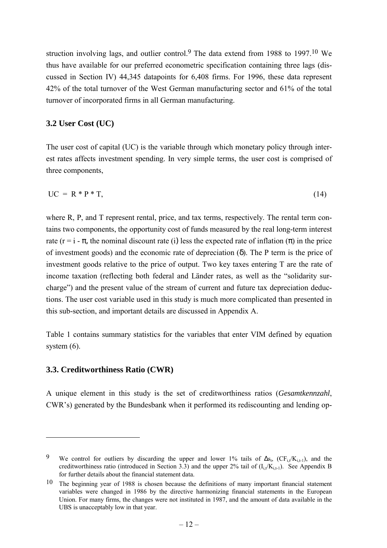struction involving lags, and outlier control.9 The data extend from 1988 to 1997.10 We thus have available for our preferred econometric specification containing three lags (discussed in Section IV) 44,345 datapoints for 6,408 firms. For 1996, these data represent 42% of the total turnover of the West German manufacturing sector and 61% of the total turnover of incorporated firms in all German manufacturing.

#### **3.2 User Cost (UC)**

The user cost of capital (UC) is the variable through which monetary policy through interest rates affects investment spending. In very simple terms, the user cost is comprised of three components,

$$
UC = R * P * T,
$$
\n<sup>(14)</sup>

where R, P, and T represent rental, price, and tax terms, respectively. The rental term contains two components, the opportunity cost of funds measured by the real long-term interest rate ( $r = i - \pi$ , the nominal discount rate (i) less the expected rate of inflation ( $\pi$ ) in the price of investment goods) and the economic rate of depreciation  $(\delta)$ . The P term is the price of investment goods relative to the price of output. Two key taxes entering T are the rate of income taxation (reflecting both federal and Länder rates, as well as the "solidarity surcharge") and the present value of the stream of current and future tax depreciation deductions. The user cost variable used in this study is much more complicated than presented in this sub-section, and important details are discussed in Appendix A.

Table 1 contains summary statistics for the variables that enter VIM defined by equation system  $(6)$ .

#### **3.3. Creditworthiness Ratio (CWR)**

 $\overline{a}$ 

A unique element in this study is the set of creditworthiness ratios (*Gesamtkennzahl*, CWR's) generated by the Bundesbank when it performed its rediscounting and lending op-

<sup>9</sup> We control for outliers by discarding the upper and lower 1% tails of  $\Delta s_{t}$ , (CF<sub>i,t</sub>/K<sub>i,t-1</sub>), and the creditworthiness ratio (introduced in Section 3.3) and the upper 2% tail of  $(I_i/K_{i+1})$ . See Appendix B for further details about the financial statement data.

<sup>10</sup> The beginning year of 1988 is chosen because the definitions of many important financial statement variables were changed in 1986 by the directive harmonizing financial statements in the European Union. For many firms, the changes were not instituted in 1987, and the amount of data available in the UBS is unacceptably low in that year.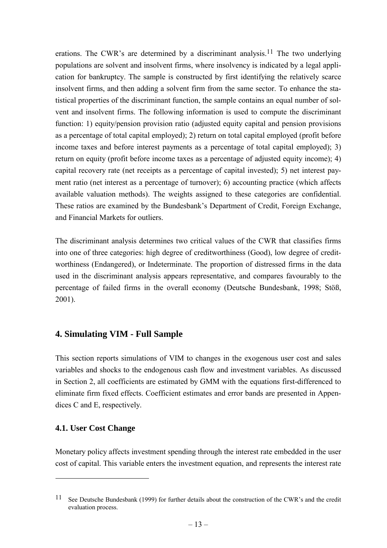erations. The CWR's are determined by a discriminant analysis.<sup>11</sup> The two underlying populations are solvent and insolvent firms, where insolvency is indicated by a legal application for bankruptcy. The sample is constructed by first identifying the relatively scarce insolvent firms, and then adding a solvent firm from the same sector. To enhance the statistical properties of the discriminant function, the sample contains an equal number of solvent and insolvent firms. The following information is used to compute the discriminant function: 1) equity/pension provision ratio (adjusted equity capital and pension provisions as a percentage of total capital employed); 2) return on total capital employed (profit before income taxes and before interest payments as a percentage of total capital employed); 3) return on equity (profit before income taxes as a percentage of adjusted equity income); 4) capital recovery rate (net receipts as a percentage of capital invested); 5) net interest payment ratio (net interest as a percentage of turnover); 6) accounting practice (which affects available valuation methods). The weights assigned to these categories are confidential. These ratios are examined by the Bundesbank's Department of Credit, Foreign Exchange, and Financial Markets for outliers.

The discriminant analysis determines two critical values of the CWR that classifies firms into one of three categories: high degree of creditworthiness (Good), low degree of creditworthiness (Endangered), or Indeterminate. The proportion of distressed firms in the data used in the discriminant analysis appears representative, and compares favourably to the percentage of failed firms in the overall economy (Deutsche Bundesbank, 1998; Stöß, 2001).

## **4. Simulating VIM - Full Sample**

This section reports simulations of VIM to changes in the exogenous user cost and sales variables and shocks to the endogenous cash flow and investment variables. As discussed in Section 2, all coefficients are estimated by GMM with the equations first-differenced to eliminate firm fixed effects. Coefficient estimates and error bands are presented in Appendices C and E, respectively.

## **4.1. User Cost Change**

 $\overline{a}$ 

Monetary policy affects investment spending through the interest rate embedded in the user cost of capital. This variable enters the investment equation, and represents the interest rate

<sup>11</sup> See Deutsche Bundesbank (1999) for further details about the construction of the CWR's and the credit evaluation process.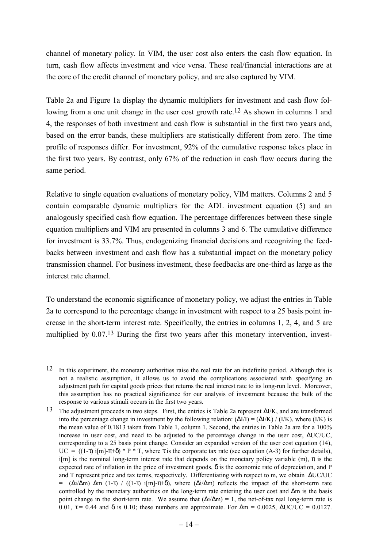channel of monetary policy. In VIM, the user cost also enters the cash flow equation. In turn, cash flow affects investment and vice versa. These real/financial interactions are at the core of the credit channel of monetary policy, and are also captured by VIM.

Table 2a and Figure 1a display the dynamic multipliers for investment and cash flow following from a one unit change in the user cost growth rate.<sup>12</sup> As shown in columns 1 and 4, the responses of both investment and cash flow is substantial in the first two years and, based on the error bands, these multipliers are statistically different from zero. The time profile of responses differ. For investment, 92% of the cumulative response takes place in the first two years. By contrast, only 67% of the reduction in cash flow occurs during the same period.

Relative to single equation evaluations of monetary policy, VIM matters. Columns 2 and 5 contain comparable dynamic multipliers for the ADL investment equation (5) and an analogously specified cash flow equation. The percentage differences between these single equation multipliers and VIM are presented in columns 3 and 6. The cumulative difference for investment is 33.7%. Thus, endogenizing financial decisions and recognizing the feedbacks between investment and cash flow has a substantial impact on the monetary policy transmission channel. For business investment, these feedbacks are one-third as large as the interest rate channel.

To understand the economic significance of monetary policy, we adjust the entries in Table 2a to correspond to the percentage change in investment with respect to a 25 basis point increase in the short-term interest rate. Specifically, the entries in columns 1, 2, 4, and 5 are multiplied by 0.07.13 During the first two years after this monetary intervention, invest-

 $\overline{a}$ 

<sup>12</sup> In this experiment, the monetary authorities raise the real rate for an indefinite period. Although this is not a realistic assumption, it allows us to avoid the complications associated with specifying an adjustment path for capital goods prices that returns the real interest rate to its long-run level. Moreover, this assumption has no practical significance for our analysis of investment because the bulk of the response to various stimuli occurs in the first two years.

<sup>13</sup> The adjustment proceeds in two steps. First, the entries is Table 2a represent ∆I/K, and are transformed into the percentage change in investment by the following relation:  $(\Delta I/I) = (\Delta I/K) / (I/K)$ , where (I/K) is the mean value of 0.1813 taken from Table 1, column 1. Second, the entries in Table 2a are for a 100% increase in user cost, and need to be adjusted to the percentage change in the user cost, ∆UC/UC, corresponding to a 25 basis point change. Consider an expanded version of the user cost equation (14), UC =  $((1-\tau)$  i[m]- $\pi+\delta$ ) \* P \* T, where  $\tau$  is the corporate tax rate (see equation (A-3) for further details), i[m] is the nominal long-term interest rate that depends on the monetary policy variable (m),  $\pi$  is the expected rate of inflation in the price of investment goods,  $\delta$  is the economic rate of depreciation, and P and T represent price and tax terms, respectively. Differentiating with respect to m, we obtain ∆UC/UC = (∆i/∆m) ∆m (1-τ) / ((1-τ) i[m]-π+δ), where (∆i/∆m) reflects the impact of the short-term rate controlled by the monetary authorities on the long-term rate entering the user cost and ∆m is the basis point change in the short-term rate. We assume that  $(\Delta i/\Delta m) = 1$ , the net-of-tax real long-term rate is 0.01,  $\tau$  = 0.44 and  $\delta$  is 0.10; these numbers are approximate. For  $\Delta m$  = 0.0025,  $\Delta U C/UC$  = 0.0127.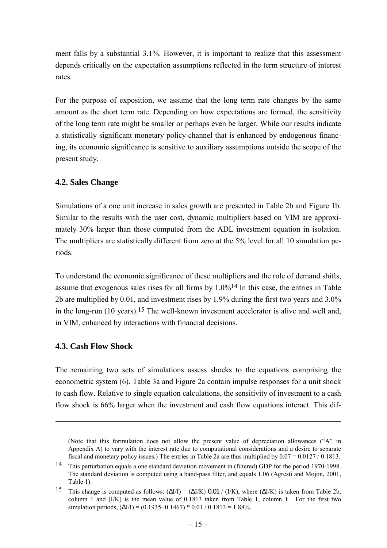ment falls by a substantial 3.1%. However, it is important to realize that this assessment depends critically on the expectation assumptions reflected in the term structure of interest rates.

For the purpose of exposition, we assume that the long term rate changes by the same amount as the short term rate. Depending on how expectations are formed, the sensitivity of the long term rate might be smaller or perhaps even be larger. While our results indicate a statistically significant monetary policy channel that is enhanced by endogenous financing, its economic significance is sensitive to auxiliary assumptions outside the scope of the present study.

### **4.2. Sales Change**

Simulations of a one unit increase in sales growth are presented in Table 2b and Figure 1b. Similar to the results with the user cost, dynamic multipliers based on VIM are approximately 30% larger than those computed from the ADL investment equation in isolation. The multipliers are statistically different from zero at the 5% level for all 10 simulation periods.

To understand the economic significance of these multipliers and the role of demand shifts, assume that exogenous sales rises for all firms by  $1.0\%$ <sup>14</sup> In this case, the entries in Table 2b are multiplied by 0.01, and investment rises by 1.9% during the first two years and 3.0% in the long-run (10 years).15 The well-known investment accelerator is alive and well and, in VIM, enhanced by interactions with financial decisions.

## **4.3. Cash Flow Shock**

 $\overline{a}$ 

The remaining two sets of simulations assess shocks to the equations comprising the econometric system (6). Table 3a and Figure 2a contain impulse responses for a unit shock to cash flow. Relative to single equation calculations, the sensitivity of investment to a cash flow shock is 66% larger when the investment and cash flow equations interact. This dif-

<sup>(</sup>Note that this formulation does not allow the present value of depreciation allowances ("A" in Appendix A) to vary with the interest rate due to computational considerations and a desire to separate fiscal and monetary policy issues.) The entries in Table 2a are thus multiplied by  $0.07 = 0.0127 / 0.1813$ .

<sup>14</sup> This perturbation equals a one standard deviation movement in (filtered) GDP for the period 1970-1998. The standard deviation is computed using a band-pass filter, and equals 1.06 (Agresti and Mojon, 2001, Table 1).

<sup>15</sup> This change is computed as follows:  $(\Delta I/I) = (\Delta I/K)$  0.01 / (I/K), where  $(\Delta I/K)$  is taken from Table 2b, column 1 and (I/K) is the mean value of 0.1813 taken from Table 1, column 1. For the first two simulation periods,  $(\Delta I/I) = (0.1935+0.1467) * 0.01 / 0.1813 = 1.88\%$ .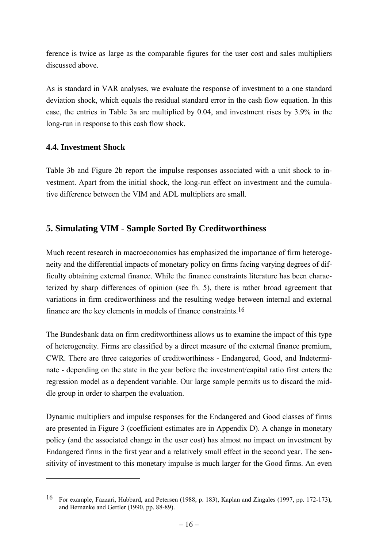ference is twice as large as the comparable figures for the user cost and sales multipliers discussed above.

As is standard in VAR analyses, we evaluate the response of investment to a one standard deviation shock, which equals the residual standard error in the cash flow equation. In this case, the entries in Table 3a are multiplied by 0.04, and investment rises by 3.9% in the long-run in response to this cash flow shock.

## **4.4. Investment Shock**

 $\overline{a}$ 

Table 3b and Figure 2b report the impulse responses associated with a unit shock to investment. Apart from the initial shock, the long-run effect on investment and the cumulative difference between the VIM and ADL multipliers are small.

## **5. Simulating VIM - Sample Sorted By Creditworthiness**

Much recent research in macroeconomics has emphasized the importance of firm heterogeneity and the differential impacts of monetary policy on firms facing varying degrees of difficulty obtaining external finance. While the finance constraints literature has been characterized by sharp differences of opinion (see fn. 5), there is rather broad agreement that variations in firm creditworthiness and the resulting wedge between internal and external finance are the key elements in models of finance constraints.16

The Bundesbank data on firm creditworthiness allows us to examine the impact of this type of heterogeneity. Firms are classified by a direct measure of the external finance premium, CWR. There are three categories of creditworthiness - Endangered, Good, and Indeterminate - depending on the state in the year before the investment/capital ratio first enters the regression model as a dependent variable. Our large sample permits us to discard the middle group in order to sharpen the evaluation.

Dynamic multipliers and impulse responses for the Endangered and Good classes of firms are presented in Figure 3 (coefficient estimates are in Appendix D). A change in monetary policy (and the associated change in the user cost) has almost no impact on investment by Endangered firms in the first year and a relatively small effect in the second year. The sensitivity of investment to this monetary impulse is much larger for the Good firms. An even

<sup>16</sup> For example, Fazzari, Hubbard, and Petersen (1988, p. 183), Kaplan and Zingales (1997, pp. 172-173), and Bernanke and Gertler (1990, pp. 88-89).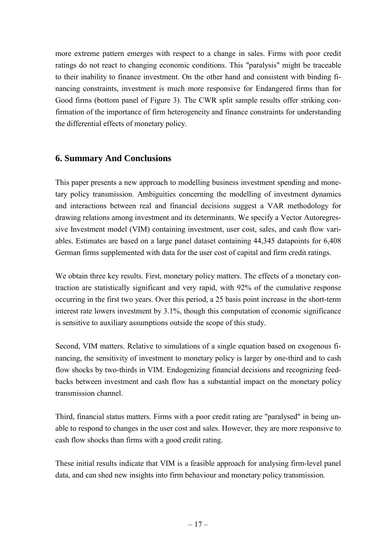more extreme pattern emerges with respect to a change in sales. Firms with poor credit ratings do not react to changing economic conditions. This "paralysis" might be traceable to their inability to finance investment. On the other hand and consistent with binding financing constraints, investment is much more responsive for Endangered firms than for Good firms (bottom panel of Figure 3). The CWR split sample results offer striking confirmation of the importance of firm heterogeneity and finance constraints for understanding the differential effects of monetary policy.

## **6. Summary And Conclusions**

This paper presents a new approach to modelling business investment spending and monetary policy transmission. Ambiguities concerning the modelling of investment dynamics and interactions between real and financial decisions suggest a VAR methodology for drawing relations among investment and its determinants. We specify a Vector Autoregressive Investment model (VIM) containing investment, user cost, sales, and cash flow variables. Estimates are based on a large panel dataset containing 44,345 datapoints for 6,408 German firms supplemented with data for the user cost of capital and firm credit ratings.

We obtain three key results. First, monetary policy matters. The effects of a monetary contraction are statistically significant and very rapid, with 92% of the cumulative response occurring in the first two years. Over this period, a 25 basis point increase in the short-term interest rate lowers investment by 3.1%, though this computation of economic significance is sensitive to auxiliary assumptions outside the scope of this study.

Second, VIM matters. Relative to simulations of a single equation based on exogenous financing, the sensitivity of investment to monetary policy is larger by one-third and to cash flow shocks by two-thirds in VIM. Endogenizing financial decisions and recognizing feedbacks between investment and cash flow has a substantial impact on the monetary policy transmission channel.

Third, financial status matters. Firms with a poor credit rating are "paralysed" in being unable to respond to changes in the user cost and sales. However, they are more responsive to cash flow shocks than firms with a good credit rating.

These initial results indicate that VIM is a feasible approach for analysing firm-level panel data, and can shed new insights into firm behaviour and monetary policy transmission.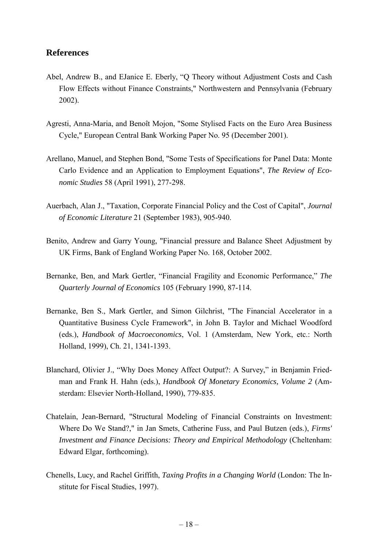### **References**

- Abel, Andrew B., and EJanice E. Eberly, "Q Theory without Adjustment Costs and Cash Flow Effects without Finance Constraints," Northwestern and Pennsylvania (February 2002).
- Agresti, Anna-Maria, and Benoît Mojon, "Some Stylised Facts on the Euro Area Business Cycle," European Central Bank Working Paper No. 95 (December 2001).
- Arellano, Manuel, and Stephen Bond, "Some Tests of Specifications for Panel Data: Monte Carlo Evidence and an Application to Employment Equations", *The Review of Economic Studies* 58 (April 1991), 277-298.
- Auerbach, Alan J., "Taxation, Corporate Financial Policy and the Cost of Capital", *Journal of Economic Literature* 21 (September 1983), 905-940.
- Benito, Andrew and Garry Young, "Financial pressure and Balance Sheet Adjustment by UK Firms, Bank of England Working Paper No. 168, October 2002.
- Bernanke, Ben, and Mark Gertler, "Financial Fragility and Economic Performance," *The Quarterly Journal of Economics* 105 (February 1990, 87-114.
- Bernanke, Ben S., Mark Gertler, and Simon Gilchrist, "The Financial Accelerator in a Quantitative Business Cycle Framework", in John B. Taylor and Michael Woodford (eds.), *Handbook of Macroeconomics*, Vol. 1 (Amsterdam, New York, etc.: North Holland, 1999), Ch. 21, 1341-1393.
- Blanchard, Olivier J., "Why Does Money Affect Output?: A Survey," in Benjamin Friedman and Frank H. Hahn (eds.), *Handbook Of Monetary Economics, Volume 2* (Amsterdam: Elsevier North-Holland, 1990), 779-835.
- Chatelain, Jean-Bernard, "Structural Modeling of Financial Constraints on Investment: Where Do We Stand?," in Jan Smets, Catherine Fuss, and Paul Butzen (eds.), *Firms' Investment and Finance Decisions: Theory and Empirical Methodology* (Cheltenham: Edward Elgar, forthcoming).
- Chenells, Lucy, and Rachel Griffith, *Taxing Profits in a Changing World* (London: The Institute for Fiscal Studies, 1997).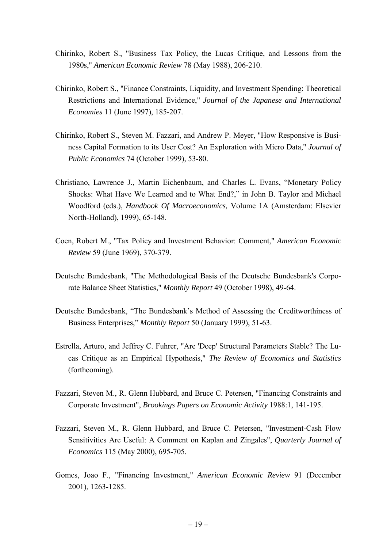- Chirinko, Robert S., "Business Tax Policy, the Lucas Critique, and Lessons from the 1980s," *American Economic Review* 78 (May 1988), 206-210.
- Chirinko, Robert S., "Finance Constraints, Liquidity, and Investment Spending: Theoretical Restrictions and International Evidence," *Journal of the Japanese and International Economies* 11 (June 1997), 185-207.
- Chirinko, Robert S., Steven M. Fazzari, and Andrew P. Meyer, "How Responsive is Business Capital Formation to its User Cost? An Exploration with Micro Data," *Journal of Public Economics* 74 (October 1999), 53-80.
- Christiano, Lawrence J., Martin Eichenbaum, and Charles L. Evans, "Monetary Policy Shocks: What Have We Learned and to What End?," in John B. Taylor and Michael Woodford (eds.), *Handbook Of Macroeconomics,* Volume 1A (Amsterdam: Elsevier North-Holland), 1999), 65-148.
- Coen, Robert M., "Tax Policy and Investment Behavior: Comment," *American Economic Review* 59 (June 1969), 370-379.
- Deutsche Bundesbank, "The Methodological Basis of the Deutsche Bundesbank's Corporate Balance Sheet Statistics," *Monthly Report* 49 (October 1998), 49-64.
- Deutsche Bundesbank, "The Bundesbank's Method of Assessing the Creditworthiness of Business Enterprises," *Monthly Report* 50 (January 1999), 51-63.
- Estrella, Arturo, and Jeffrey C. Fuhrer, "Are 'Deep' Structural Parameters Stable? The Lucas Critique as an Empirical Hypothesis," *The Review of Economics and Statistics* (forthcoming).
- Fazzari, Steven M., R. Glenn Hubbard, and Bruce C. Petersen, "Financing Constraints and Corporate Investment", *Brookings Papers on Economic Activity* 1988:1, 141-195.
- Fazzari, Steven M., R. Glenn Hubbard, and Bruce C. Petersen, "Investment-Cash Flow Sensitivities Are Useful: A Comment on Kaplan and Zingales", *Quarterly Journal of Economics* 115 (May 2000), 695-705.
- Gomes, Joao F., "Financing Investment," *American Economic Review* 91 (December 2001), 1263-1285.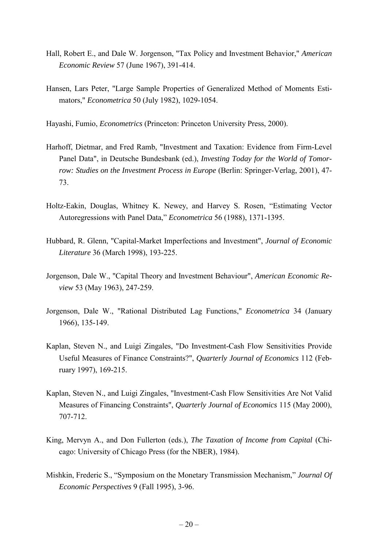- Hall, Robert E., and Dale W. Jorgenson, "Tax Policy and Investment Behavior," *American Economic Review* 57 (June 1967), 391-414.
- Hansen, Lars Peter, "Large Sample Properties of Generalized Method of Moments Estimators," *Econometrica* 50 (July 1982), 1029-1054.

Hayashi, Fumio, *Econometrics* (Princeton: Princeton University Press, 2000).

- Harhoff, Dietmar, and Fred Ramb, "Investment and Taxation: Evidence from Firm-Level Panel Data", in Deutsche Bundesbank (ed.), *Investing Today for the World of Tomorrow: Studies on the Investment Process in Europe (Berlin: Springer-Verlag, 2001), 47-*73.
- Holtz-Eakin, Douglas, Whitney K. Newey, and Harvey S. Rosen, "Estimating Vector Autoregressions with Panel Data," *Econometrica* 56 (1988), 1371-1395.
- Hubbard, R. Glenn, "Capital-Market Imperfections and Investment", *Journal of Economic Literature* 36 (March 1998), 193-225.
- Jorgenson, Dale W., "Capital Theory and Investment Behaviour", *American Economic Review* 53 (May 1963), 247-259.
- Jorgenson, Dale W., "Rational Distributed Lag Functions," *Econometrica* 34 (January 1966), 135-149.
- Kaplan, Steven N., and Luigi Zingales, "Do Investment-Cash Flow Sensitivities Provide Useful Measures of Finance Constraints?", *Quarterly Journal of Economics* 112 (February 1997), 169-215.
- Kaplan, Steven N., and Luigi Zingales, "Investment-Cash Flow Sensitivities Are Not Valid Measures of Financing Constraints", *Quarterly Journal of Economics* 115 (May 2000), 707-712.
- King, Mervyn A., and Don Fullerton (eds.), *The Taxation of Income from Capital* (Chicago: University of Chicago Press (for the NBER), 1984).
- Mishkin, Frederic S., "Symposium on the Monetary Transmission Mechanism," *Journal Of Economic Perspectives* 9 (Fall 1995), 3-96.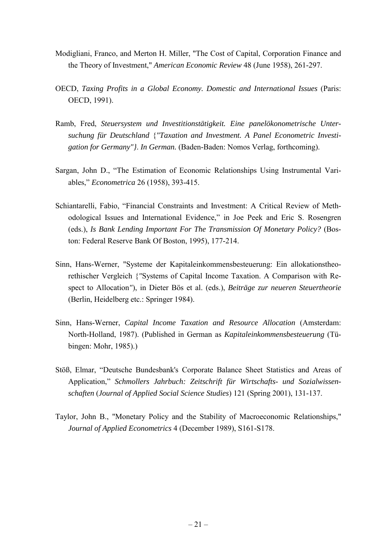- Modigliani, Franco, and Merton H. Miller, "The Cost of Capital, Corporation Finance and the Theory of Investment," *American Economic Review* 48 (June 1958), 261-297.
- OECD, *Taxing Profits in a Global Economy. Domestic and International Issues* (Paris: OECD, 1991).
- Ramb, Fred, *Steuersystem und Investitionstätigkeit. Eine panelökonometrische Untersuchung für Deutschland* {*"Taxation and Investment. A Panel Econometric Investigation for Germany"}*. *In German.* (Baden-Baden: Nomos Verlag, forthcoming).
- Sargan, John D., "The Estimation of Economic Relationships Using Instrumental Variables," *Econometrica* 26 (1958), 393-415.
- Schiantarelli, Fabio, "Financial Constraints and Investment: A Critical Review of Methodological Issues and International Evidence," in Joe Peek and Eric S. Rosengren (eds.), *Is Bank Lending Important For The Transmission Of Monetary Policy?* (Boston: Federal Reserve Bank Of Boston, 1995), 177-214.
- Sinn, Hans-Werner, "Systeme der Kapitaleinkommensbesteuerung: Ein allokationstheorethischer Vergleich {*"*Systems of Capital Income Taxation. A Comparison with Respect to Allocation*"*), in Dieter Bös et al. (eds.), *Beiträge zur neueren Steuertheorie* (Berlin, Heidelberg etc.: Springer 1984).
- Sinn, Hans-Werner, *Capital Income Taxation and Resource Allocation* (Amsterdam: North-Holland, 1987). (Published in German as *Kapitaleinkommensbesteuerung* (Tübingen: Mohr, 1985).)
- Stöß, Elmar, "Deutsche Bundesbank's Corporate Balance Sheet Statistics and Areas of Application," *Schmollers Jahrbuch: Zeitschrift für Wirtschafts- und Sozialwissenschaften* (*Journal of Applied Social Science Studies*) 121 (Spring 2001), 131-137.
- Taylor, John B., "Monetary Policy and the Stability of Macroeconomic Relationships," *Journal of Applied Econometrics* 4 (December 1989), S161-S178.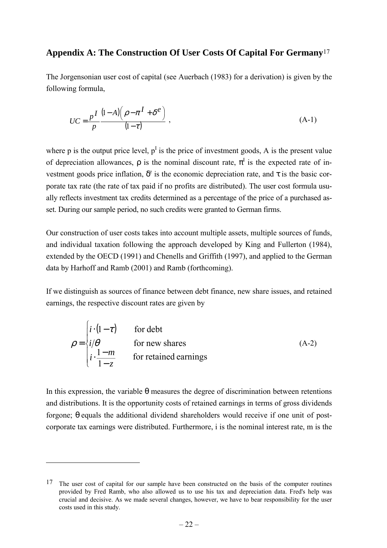## **Appendix A: The Construction Of User Costs Of Capital For Germany**17

The Jorgensonian user cost of capital (see Auerbach (1983) for a derivation) is given by the following formula,

$$
UC = \frac{pI}{p} \frac{(1-A)\left(\rho - \pi I + \delta^e\right)}{(1-\tau)},
$$
\n(A-1)

where p is the output price level,  $p<sup>I</sup>$  is the price of investment goods, A is the present value of depreciation allowances,  $\rho$  is the nominal discount rate,  $\pi^I$  is the expected rate of investment goods price inflation,  $\delta^e$  is the economic depreciation rate, and  $\tau$  is the basic corporate tax rate (the rate of tax paid if no profits are distributed). The user cost formula usually reflects investment tax credits determined as a percentage of the price of a purchased asset. During our sample period, no such credits were granted to German firms.

Our construction of user costs takes into account multiple assets, multiple sources of funds, and individual taxation following the approach developed by King and Fullerton (1984), extended by the OECD (1991) and Chenells and Griffith (1997), and applied to the German data by Harhoff and Ramb (2001) and Ramb (forthcoming).

If we distinguish as sources of finance between debt finance, new share issues, and retained earnings, the respective discount rates are given by

$$
\rho = \begin{cases} i \cdot (1 - \tau) & \text{for debt} \\ i/\theta & \text{for new shares} \\ i \cdot \frac{1 - m}{1 - z} & \text{for retained earnings} \end{cases}
$$
 (A-2)

In this expression, the variable  $\theta$  measures the degree of discrimination between retentions and distributions. It is the opportunity costs of retained earnings in terms of gross dividends forgone; θ equals the additional dividend shareholders would receive if one unit of postcorporate tax earnings were distributed. Furthermore, i is the nominal interest rate, m is the

 $\overline{a}$ 

<sup>&</sup>lt;sup>17</sup> The user cost of capital for our sample have been constructed on the basis of the computer routines provided by Fred Ramb, who also allowed us to use his tax and depreciation data. Fred's help was crucial and decisive. As we made several changes, however, we have to bear responsibility for the user costs used in this study.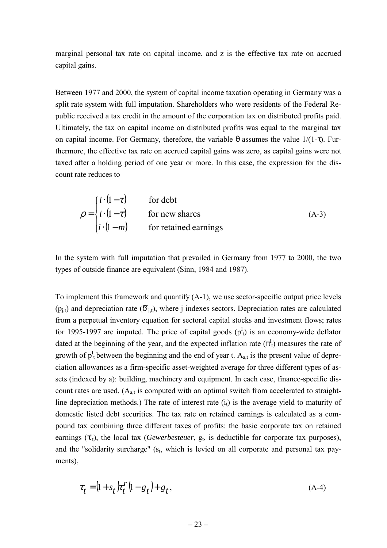marginal personal tax rate on capital income, and z is the effective tax rate on accrued capital gains.

Between 1977 and 2000, the system of capital income taxation operating in Germany was a split rate system with full imputation. Shareholders who were residents of the Federal Republic received a tax credit in the amount of the corporation tax on distributed profits paid. Ultimately, the tax on capital income on distributed profits was equal to the marginal tax on capital income. For Germany, therefore, the variable  $\theta$  assumes the value 1/(1-τ). Furthermore, the effective tax rate on accrued capital gains was zero, as capital gains were not taxed after a holding period of one year or more. In this case, the expression for the discount rate reduces to

$$
\rho = \begin{cases} i \cdot (1 - \tau) & \text{for debt} \\ i \cdot (1 - \tau) & \text{for new shares} \\ i \cdot (1 - m) & \text{for retained earnings} \end{cases}
$$
 (A-3)

In the system with full imputation that prevailed in Germany from 1977 to 2000, the two types of outside finance are equivalent (Sinn, 1984 and 1987).

To implement this framework and quantify (A-1), we use sector-specific output price levels  $(p_{j,t})$  and depreciation rate  $(\delta_{j,t}^e)$ , where j indexes sectors. Depreciation rates are calculated from a perpetual inventory equation for sectoral capital stocks and investment flows; rates for 1995-1997 are imputed. The price of capital goods  $(p<sup>I</sup><sub>t</sub>)$  is an economy-wide deflator dated at the beginning of the year, and the expected inflation rate  $(\pi_1^I)$  measures the rate of growth of  $p_1^I$  between the beginning and the end of year t.  $A_{a,t}$  is the present value of depreciation allowances as a firm-specific asset-weighted average for three different types of assets (indexed by a): building, machinery and equipment. In each case, finance-specific discount rates are used.  $(A_{a,t}$  is computed with an optimal switch from accelerated to straightline depreciation methods.) The rate of interest rate  $(i<sub>t</sub>)$  is the average yield to maturity of domestic listed debt securities. The tax rate on retained earnings is calculated as a compound tax combining three different taxes of profits: the basic corporate tax on retained earnings  $(\tau_t^r)$ , the local tax (*Gewerbesteuer*,  $g_t$ , is deductible for corporate tax purposes), and the "solidarity surcharge"  $(s_t,$  which is levied on all corporate and personal tax payments),

$$
\tau_t = (1 + s_t) \tau_t^r (1 - g_t) + g_t, \qquad (A-4)
$$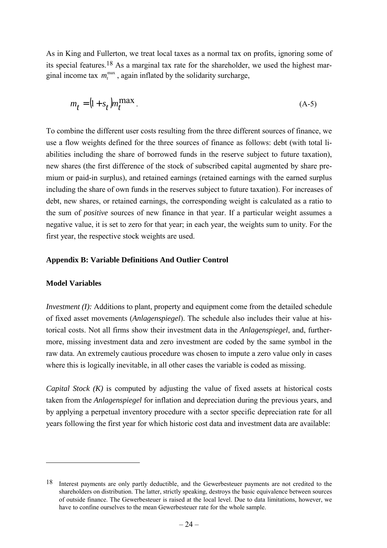As in King and Fullerton, we treat local taxes as a normal tax on profits, ignoring some of its special features.<sup>18</sup> As a marginal tax rate for the shareholder, we used the highest marginal income tax  $m_t^{\text{max}}$ , again inflated by the solidarity surcharge,

$$
m_t = \left(1 + s_t\right)m_t^{\max}.\tag{A-5}
$$

To combine the different user costs resulting from the three different sources of finance, we use a flow weights defined for the three sources of finance as follows: debt (with total liabilities including the share of borrowed funds in the reserve subject to future taxation), new shares (the first difference of the stock of subscribed capital augmented by share premium or paid-in surplus), and retained earnings (retained earnings with the earned surplus including the share of own funds in the reserves subject to future taxation). For increases of debt, new shares, or retained earnings, the corresponding weight is calculated as a ratio to the sum of *positive* sources of new finance in that year. If a particular weight assumes a negative value, it is set to zero for that year; in each year, the weights sum to unity. For the first year, the respective stock weights are used.

#### **Appendix B: Variable Definitions And Outlier Control**

#### **Model Variables**

 $\overline{a}$ 

*Investment (I):* Additions to plant, property and equipment come from the detailed schedule of fixed asset movements (*Anlagenspiegel*). The schedule also includes their value at historical costs. Not all firms show their investment data in the *Anlagenspiegel*, and, furthermore, missing investment data and zero investment are coded by the same symbol in the raw data. An extremely cautious procedure was chosen to impute a zero value only in cases where this is logically inevitable, in all other cases the variable is coded as missing.

*Capital Stock (K)* is computed by adjusting the value of fixed assets at historical costs taken from the *Anlagenspiegel* for inflation and depreciation during the previous years, and by applying a perpetual inventory procedure with a sector specific depreciation rate for all years following the first year for which historic cost data and investment data are available:

<sup>18</sup> Interest payments are only partly deductible, and the Gewerbesteuer payments are not credited to the shareholders on distribution. The latter, strictly speaking, destroys the basic equivalence between sources of outside finance. The Gewerbesteuer is raised at the local level. Due to data limitations, however, we have to confine ourselves to the mean Gewerbesteuer rate for the whole sample.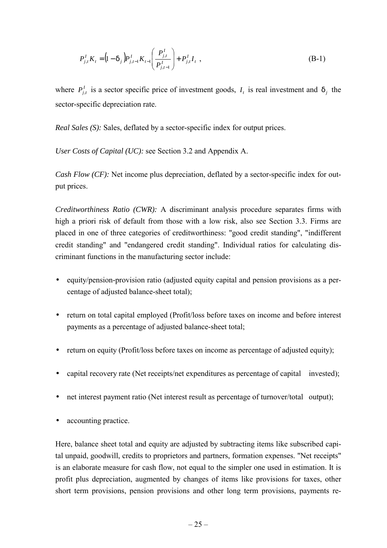$$
P_{j,t}^I K_t = (1 - \delta_j) P_{j,t-1}^I K_{t-1} \left( \frac{P_{j,t}^I}{P_{j,t-1}^I} \right) + P_{j,t}^I I_t,
$$
\n(B-1)

where  $P_{i,t}^I$  is a sector specific price of investment goods,  $I_t$  is real investment and  $\delta_i$  the sector-specific depreciation rate.

*Real Sales (S):* Sales, deflated by a sector-specific index for output prices.

*User Costs of Capital (UC):* see Section 3.2 and Appendix A.

*Cash Flow (CF):* Net income plus depreciation, deflated by a sector-specific index for output prices.

*Creditworthiness Ratio (CWR):* A discriminant analysis procedure separates firms with high a priori risk of default from those with a low risk, also see Section 3.3. Firms are placed in one of three categories of creditworthiness: "good credit standing", "indifferent credit standing" and "endangered credit standing". Individual ratios for calculating discriminant functions in the manufacturing sector include:

- equity/pension-provision ratio (adjusted equity capital and pension provisions as a percentage of adjusted balance-sheet total);
- return on total capital employed (Profit/loss before taxes on income and before interest payments as a percentage of adjusted balance-sheet total;
- return on equity (Profit/loss before taxes on income as percentage of adjusted equity);
- capital recovery rate (Net receipts/net expenditures as percentage of capital invested);
- net interest payment ratio (Net interest result as percentage of turnover/total output);
- accounting practice.

Here, balance sheet total and equity are adjusted by subtracting items like subscribed capital unpaid, goodwill, credits to proprietors and partners, formation expenses. "Net receipts" is an elaborate measure for cash flow, not equal to the simpler one used in estimation. It is profit plus depreciation, augmented by changes of items like provisions for taxes, other short term provisions, pension provisions and other long term provisions, payments re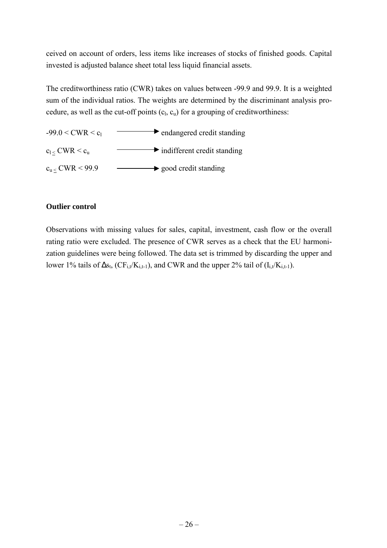ceived on account of orders, less items like increases of stocks of finished goods. Capital invested is adjusted balance sheet total less liquid financial assets.

The creditworthiness ratio (CWR) takes on values between -99.9 and 99.9. It is a weighted sum of the individual ratios. The weights are determined by the discriminant analysis procedure, as well as the cut-off points  $(c_l, c_u)$  for a grouping of creditworthiness:

![](_page_33_Figure_2.jpeg)

## **Outlier control**

Observations with missing values for sales, capital, investment, cash flow or the overall rating ratio were excluded. The presence of CWR serves as a check that the EU harmonization guidelines were being followed. The data set is trimmed by discarding the upper and lower 1% tails of  $\Delta s_t$ , (CF<sub>i,t</sub>/K<sub>i,t-1</sub>), and CWR and the upper 2% tail of (I<sub>i,t</sub>/K<sub>i,t-1</sub>).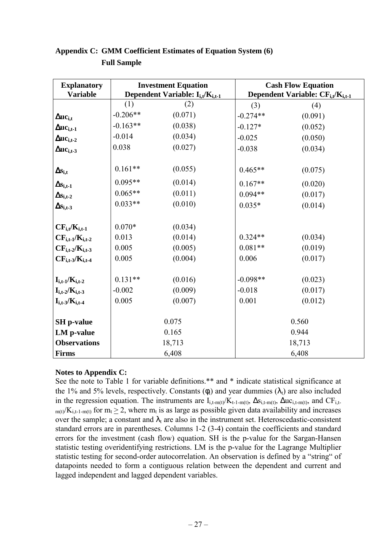| <b>Explanatory</b><br><b>Variable</b> |                                                                        | <b>Investment Equation</b> |            | <b>Cash Flow Equation</b>                                 |
|---------------------------------------|------------------------------------------------------------------------|----------------------------|------------|-----------------------------------------------------------|
|                                       | Dependent Variable: I <sub>i,t</sub> /K <sub>i,t-1</sub><br>(1)<br>(2) |                            |            | Dependent Variable: CF <sub>i,t</sub> /K <sub>i,t-1</sub> |
|                                       | $-0.206**$                                                             | (0.071)                    | (3)        | (4)                                                       |
| $\Delta$ uc <sub>i.t</sub>            |                                                                        |                            | $-0.274**$ | (0.091)                                                   |
| $\Delta$ u $c_{i,t-1}$                | $-0.163**$                                                             | (0.038)                    | $-0.127*$  | (0.052)                                                   |
| $\Delta$ u $c_{i,t-2}$                | $-0.014$                                                               | (0.034)                    | $-0.025$   | (0.050)                                                   |
| $\Delta$ u $c_{i,t-3}$                | 0.038                                                                  | (0.027)                    | $-0.038$   | (0.034)                                                   |
|                                       |                                                                        |                            |            |                                                           |
| $\Delta s_{i,t}$                      | $0.161**$                                                              | (0.055)                    | $0.465**$  | (0.075)                                                   |
| $\Delta s_{i,t-1}$                    | $0.095**$                                                              | (0.014)                    | $0.167**$  | (0.020)                                                   |
| $\Delta s_{i,t-2}$                    | $0.065**$                                                              | (0.011)                    | $0.094**$  | (0.017)                                                   |
| $\Delta s_{i,t-3}$                    | $0.033**$                                                              | (0.010)                    | $0.035*$   | (0.014)                                                   |
|                                       |                                                                        |                            |            |                                                           |
| $CF_{i,t}/K_{i,t-1}$                  | $0.070*$                                                               | (0.034)                    |            |                                                           |
| $CF_{i,t-1}/K_{i,t-2}$                | 0.013                                                                  | (0.014)                    | $0.324**$  | (0.034)                                                   |
| $CF_{i,t-2}/K_{i,t-3}$                | 0.005                                                                  | (0.005)                    | $0.081**$  | (0.019)                                                   |
| $CF_{i,t-3}/K_{i,t-4}$                | 0.005                                                                  | (0.004)                    | 0.006      | (0.017)                                                   |
|                                       |                                                                        |                            |            |                                                           |
| $I_{i,t-1}/K_{i,t-2}$                 | $0.131**$                                                              | (0.016)                    | $-0.098**$ | (0.023)                                                   |
| $I_{i,t-2}/K_{i,t-3}$                 | $-0.002$                                                               | (0.009)                    | $-0.018$   | (0.017)                                                   |
| $I_{i,t-3}/K_{i,t-4}$                 | 0.005                                                                  | (0.007)                    | 0.001      | (0.012)                                                   |
|                                       |                                                                        |                            |            |                                                           |
| <b>SH</b> p-value                     |                                                                        | 0.075                      |            | 0.560                                                     |
| LM p-value                            |                                                                        | 0.165                      |            | 0.944                                                     |
| <b>Observations</b>                   |                                                                        | 18,713                     |            | 18,713                                                    |
| <b>Firms</b>                          |                                                                        | 6,408                      |            | 6,408                                                     |

## **Appendix C: GMM Coefficient Estimates of Equation System (6) Full Sample**

#### **Notes to Appendix C:**

See the note to Table 1 for variable definitions.\*\* and \* indicate statistical significance at the 1% and 5% levels, respectively. Constants ( $\phi_i$ ) and year dummies ( $\lambda_t$ ) are also included in the regression equation. The instruments are  $I_{i,t-m(t)}/K_{t-1-m(t)}$ ,  $\Delta s_{i,t-m(t)}$ ,  $\Delta u c_{i,t-m(t)}$ , and  $CF_{i,t-1}$  $m(t)/K_{i,t-1-m(t)}$  for  $m_t \geq 2$ , where  $m_t$  is as large as possible given data availability and increases over the sample; a constant and  $\lambda_t$  are also in the instrument set. Heteroscedastic-consistent standard errors are in parentheses. Columns 1-2 (3-4) contain the coefficients and standard errors for the investment (cash flow) equation. SH is the p-value for the Sargan-Hansen statistic testing overidentifying restrictions. LM is the p-value for the Lagrange Multiplier statistic testing for second-order autocorrelation. An observation is defined by a "string" of datapoints needed to form a contiguous relation between the dependent and current and lagged independent and lagged dependent variables.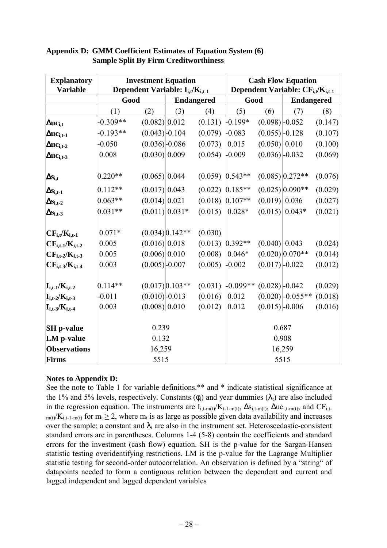| <b>Explanatory</b><br><b>Variable</b>   |            | <b>Investment Equation</b><br>Dependent Variable: $I_{i,t}/K_{i,t-1}$ |                   |                   | <b>Cash Flow Equation</b><br>Dependent Variable: CF <sub>i,t</sub> /K <sub>i,t-1</sub> |                  |                    |                   |  |
|-----------------------------------------|------------|-----------------------------------------------------------------------|-------------------|-------------------|----------------------------------------------------------------------------------------|------------------|--------------------|-------------------|--|
|                                         | Good       |                                                                       |                   | <b>Endangered</b> |                                                                                        | Good             |                    | <b>Endangered</b> |  |
|                                         | (1)        | (2)                                                                   | (3)               | (4)               | (5)                                                                                    | (6)              | (7)                | (8)               |  |
| $\Delta$ uc <sub>i,t</sub>              | $-0.309**$ | (0.082) 0.012                                                         |                   | (0.131)           | $-0.199*$                                                                              | $(0.098)$ -0.052 |                    | (0.147)           |  |
| $\Delta$ u $\rm c_{i,t\text{-}1}$       | $-0.193**$ | $(0.043)$ -0.104                                                      |                   | (0.079)           | $-0.083$                                                                               | $(0.055)$ -0.128 |                    | (0.107)           |  |
| $\Delta$ u $c_{i,t-2}$                  | $-0.050$   | $(0.036) - 0.086$                                                     |                   | (0.073)           | 0.015                                                                                  | (0.050) 0.010    |                    | (0.100)           |  |
| $\Delta$ u $c_{i,t-3}$                  | 0.008      | (0.030) 0.009                                                         |                   | (0.054)           | $-0.009$                                                                               | $(0.036)$ -0.032 |                    | (0.069)           |  |
| $\Delta s_{i,t}$                        | $0.220**$  | (0.065) 0.044                                                         |                   |                   | $(0.059)$ 0.543**                                                                      |                  | $(0.085)$ 0.272**  | (0.076)           |  |
| $\Delta s_{i,t-1}$                      | $0.112**$  | (0.017) 0.043                                                         |                   |                   | $(0.022)$ 0.185**                                                                      |                  | $(0.025)$ 0.090**  | (0.029)           |  |
| $\Delta s_{i,t-2}$                      | $0.063**$  | (0.014) 0.021                                                         |                   |                   | $(0.018)$ 0.107**                                                                      | (0.019) 0.036    |                    | (0.027)           |  |
| $\Delta s_{i,t-3}$                      | $0.031**$  |                                                                       | $(0.011) 0.031*$  | (0.015)           | $0.028*$                                                                               |                  | $(0.015)$ 0.043*   | (0.021)           |  |
| $CF_{i,t}/K_{i,t-1}$                    | $0.071*$   |                                                                       | $(0.034)$ 0.142** | (0.030)           |                                                                                        |                  |                    |                   |  |
| $CF_{i,t-1}/K_{i,t-2}$                  | 0.005      | (0.016) 0.018                                                         |                   |                   | $(0.013)$ 0.392**                                                                      | $(0.040)$ 0.043  |                    | (0.024)           |  |
| $CF_{i,t-2}/K_{i,t-3}$                  | 0.005      | (0.006) 0.010                                                         |                   | (0.008)           | $0.046*$                                                                               |                  | $(0.020)$ 0.070**  | (0.014)           |  |
| $CF_{i,t-3}/K_{i,t-4}$                  | 0.003      | $(0.005)$ -0.007                                                      |                   | (0.005)           | $-0.002$                                                                               | $(0.017)$ -0.022 |                    | (0.012)           |  |
| $\mathbf{I}_{i,t-1}/\mathbf{K}_{i,t-2}$ | $0.114**$  |                                                                       | $(0.017)$ 0.103** | (0.031)           | $-0.099**$                                                                             | $(0.028)$ -0.042 |                    | (0.029)           |  |
| $\mathbf{I}_{i,t-2}/\mathbf{K}_{i,t-3}$ | $-0.011$   | $(0.010) - 0.013$                                                     |                   | (0.016)           | 0.012                                                                                  |                  | $(0.020)$ -0.055** | (0.018)           |  |
| $\mathbf{I}_{i,t-3}/\mathbf{K}_{i,t-4}$ | 0.003      | (0.008) 0.010                                                         |                   | (0.012)           | 0.012                                                                                  | $(0.015)$ -0.006 |                    | (0.016)           |  |
| <b>SH</b> p-value                       |            | 0.239                                                                 |                   |                   |                                                                                        | 0.687            |                    |                   |  |
| LM p-value                              |            | 0.132                                                                 |                   |                   |                                                                                        |                  | 0.908              |                   |  |
| <b>Observations</b>                     |            | 16,259                                                                |                   |                   |                                                                                        | 16,259           |                    |                   |  |
| <b>Firms</b>                            |            | 5515                                                                  |                   |                   |                                                                                        | 5515             |                    |                   |  |

#### **Appendix D: GMM Coefficient Estimates of Equation System (6) Sample Split By Firm Creditworthiness.**

#### **Notes to Appendix D:**

See the note to Table 1 for variable definitions.\*\* and \* indicate statistical significance at the 1% and 5% levels, respectively. Constants  $(\phi_i)$  and year dummies  $(\lambda_i)$  are also included in the regression equation. The instruments are  $I_{i,t-m(t)}/K_{t-1-m(t)}$ ,  $\Delta s_{i,t-m(t)}$ ,  $\Delta u c_{i,t-m(t)}$ , and  $CF_{i,t-1}$  $m(t)/K_{i,t-1-m(t)}$  for  $m_t \geq 2$ , where  $m_t$  is as large as possible given data availability and increases over the sample; a constant and  $\lambda_t$  are also in the instrument set. Heteroscedastic-consistent standard errors are in parentheses. Columns 1-4 (5-8) contain the coefficients and standard errors for the investment (cash flow) equation. SH is the p-value for the Sargan-Hansen statistic testing overidentifying restrictions. LM is the p-value for the Lagrange Multiplier statistic testing for second-order autocorrelation. An observation is defined by a "string" of datapoints needed to form a contiguous relation between the dependent and current and lagged independent and lagged dependent variables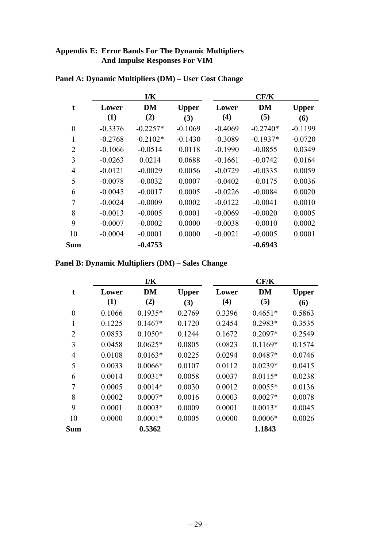## **Appendix E: Error Bands For The Dynamic Multipliers And Impulse Responses For VIM**

|                |           | I/K        |              |           | CF/K       |              |
|----------------|-----------|------------|--------------|-----------|------------|--------------|
| t              | Lower     | <b>DM</b>  | <b>Upper</b> | Lower     | <b>DM</b>  | <b>Upper</b> |
|                | (1)       | (2)        | (3)          | (4)       | (5)        | (6)          |
| $\overline{0}$ | $-0.3376$ | $-0.2257*$ | $-0.1069$    | $-0.4069$ | $-0.2740*$ | $-0.1199$    |
| 1              | $-0.2768$ | $-0.2102*$ | $-0.1430$    | $-0.3089$ | $-0.1937*$ | $-0.0720$    |
| $\overline{2}$ | $-0.1066$ | $-0.0514$  | 0.0118       | $-0.1990$ | $-0.0855$  | 0.0349       |
| 3              | $-0.0263$ | 0.0214     | 0.0688       | $-0.1661$ | $-0.0742$  | 0.0164       |
| $\overline{4}$ | $-0.0121$ | $-0.0029$  | 0.0056       | $-0.0729$ | $-0.0335$  | 0.0059       |
| 5              | $-0.0078$ | $-0.0032$  | 0.0007       | $-0.0402$ | $-0.0175$  | 0.0036       |
| 6              | $-0.0045$ | $-0.0017$  | 0.0005       | $-0.0226$ | $-0.0084$  | 0.0020       |
| 7              | $-0.0024$ | $-0.0009$  | 0.0002       | $-0.0122$ | $-0.0041$  | 0.0010       |
| 8              | $-0.0013$ | $-0.0005$  | 0.0001       | $-0.0069$ | $-0.0020$  | 0.0005       |
| 9              | $-0.0007$ | $-0.0002$  | 0.0000       | $-0.0038$ | $-0.0010$  | 0.0002       |
| 10             | $-0.0004$ | $-0.0001$  | 0.0000       | $-0.0021$ | $-0.0005$  | 0.0001       |
| Sum            |           | $-0.4753$  |              |           | $-0.6943$  |              |

## **Panel A: Dynamic Multipliers (DM) – User Cost Change**

**Panel B: Dynamic Multipliers (DM) – Sales Change**

|                |        | I/K       |              |        | CF/K      |              |
|----------------|--------|-----------|--------------|--------|-----------|--------------|
| t              | Lower  | <b>DM</b> | <b>Upper</b> | Lower  | <b>DM</b> | <b>Upper</b> |
|                | (1)    | (2)       | (3)          | (4)    | (5)       | (6)          |
| $\overline{0}$ | 0.1066 | $0.1935*$ | 0.2769       | 0.3396 | $0.4651*$ | 0.5863       |
| 1              | 0.1225 | $0.1467*$ | 0.1720       | 0.2454 | $0.2983*$ | 0.3535       |
| $\overline{2}$ | 0.0853 | $0.1050*$ | 0.1244       | 0.1672 | $0.2097*$ | 0.2549       |
| 3              | 0.0458 | $0.0625*$ | 0.0805       | 0.0823 | $0.1169*$ | 0.1574       |
| $\overline{4}$ | 0.0108 | $0.0163*$ | 0.0225       | 0.0294 | $0.0487*$ | 0.0746       |
| 5              | 0.0033 | $0.0066*$ | 0.0107       | 0.0112 | $0.0239*$ | 0.0415       |
| 6              | 0.0014 | $0.0031*$ | 0.0058       | 0.0037 | $0.0115*$ | 0.0238       |
| $\overline{7}$ | 0.0005 | $0.0014*$ | 0.0030       | 0.0012 | $0.0055*$ | 0.0136       |
| 8              | 0.0002 | $0.0007*$ | 0.0016       | 0.0003 | $0.0027*$ | 0.0078       |
| 9              | 0.0001 | $0.0003*$ | 0.0009       | 0.0001 | $0.0013*$ | 0.0045       |
| 10             | 0.0000 | $0.0001*$ | 0.0005       | 0.0000 | $0.0006*$ | 0.0026       |
| <b>Sum</b>     |        | 0.5362    |              |        | 1.1843    |              |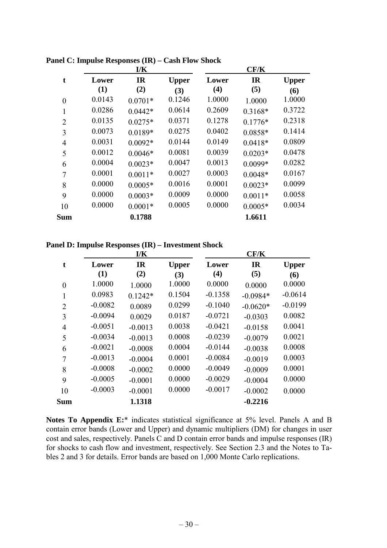|                  |        | I/K       |              |        | CF/K      |              |
|------------------|--------|-----------|--------------|--------|-----------|--------------|
| t                | Lower  | <b>IR</b> | <b>Upper</b> | Lower  | <b>IR</b> | <b>Upper</b> |
|                  | (1)    | (2)       | (3)          | (4)    | (5)       | (6)          |
| $\boldsymbol{0}$ | 0.0143 | $0.0701*$ | 0.1246       | 1.0000 | 1.0000    | 1.0000       |
| 1                | 0.0286 | $0.0442*$ | 0.0614       | 0.2609 | $0.3168*$ | 0.3722       |
| $\overline{2}$   | 0.0135 | $0.0275*$ | 0.0371       | 0.1278 | $0.1776*$ | 0.2318       |
| 3                | 0.0073 | $0.0189*$ | 0.0275       | 0.0402 | $0.0858*$ | 0.1414       |
| $\overline{4}$   | 0.0031 | $0.0092*$ | 0.0144       | 0.0149 | $0.0418*$ | 0.0809       |
| 5                | 0.0012 | $0.0046*$ | 0.0081       | 0.0039 | $0.0203*$ | 0.0478       |
| 6                | 0.0004 | $0.0023*$ | 0.0047       | 0.0013 | $0.0099*$ | 0.0282       |
| 7                | 0.0001 | $0.0011*$ | 0.0027       | 0.0003 | $0.0048*$ | 0.0167       |
| 8                | 0.0000 | $0.0005*$ | 0.0016       | 0.0001 | $0.0023*$ | 0.0099       |
| 9                | 0.0000 | $0.0003*$ | 0.0009       | 0.0000 | $0.0011*$ | 0.0058       |
| 10               | 0.0000 | $0.0001*$ | 0.0005       | 0.0000 | $0.0005*$ | 0.0034       |
| <b>Sum</b>       |        | 0.1788    |              |        | 1.6611    |              |

**Panel C: Impulse Responses (IR) – Cash Flow Shock**

**Panel D: Impulse Responses (IR) – Investment Shock**

|                |           | I/K       |              |           | CF/K       |              |
|----------------|-----------|-----------|--------------|-----------|------------|--------------|
| t              | Lower     | <b>IR</b> | <b>Upper</b> | Lower     | <b>IR</b>  | <b>Upper</b> |
|                | (1)       | (2)       | (3)          | (4)       | (5)        | (6)          |
| $\overline{0}$ | 1.0000    | 1.0000    | 1.0000       | 0.0000    | 0.0000     | 0.0000       |
| 1              | 0.0983    | $0.1242*$ | 0.1504       | $-0.1358$ | $-0.0984*$ | $-0.0614$    |
| $\overline{2}$ | $-0.0082$ | 0.0089    | 0.0299       | $-0.1040$ | $-0.0620*$ | $-0.0199$    |
| 3              | $-0.0094$ | 0.0029    | 0.0187       | $-0.0721$ | $-0.0303$  | 0.0082       |
| $\overline{4}$ | $-0.0051$ | $-0.0013$ | 0.0038       | $-0.0421$ | $-0.0158$  | 0.0041       |
| 5              | $-0.0034$ | $-0.0013$ | 0.0008       | $-0.0239$ | $-0.0079$  | 0.0021       |
| 6              | $-0.0021$ | $-0.0008$ | 0.0004       | $-0.0144$ | $-0.0038$  | 0.0008       |
| 7              | $-0.0013$ | $-0.0004$ | 0.0001       | $-0.0084$ | $-0.0019$  | 0.0003       |
| 8              | $-0.0008$ | $-0.0002$ | 0.0000       | $-0.0049$ | $-0.0009$  | 0.0001       |
| 9              | $-0.0005$ | $-0.0001$ | 0.0000       | $-0.0029$ | $-0.0004$  | 0.0000       |
| 10             | $-0.0003$ | $-0.0001$ | 0.0000       | $-0.0017$ | $-0.0002$  | 0.0000       |
| <b>Sum</b>     |           | 1.1318    |              |           | $-0.2216$  |              |

**Notes To Appendix E:**\* indicates statistical significance at 5% level. Panels A and B contain error bands (Lower and Upper) and dynamic multipliers (DM) for changes in user cost and sales, respectively. Panels C and D contain error bands and impulse responses (IR) for shocks to cash flow and investment, respectively. See Section 2.3 and the Notes to Tables 2 and 3 for details. Error bands are based on 1,000 Monte Carlo replications.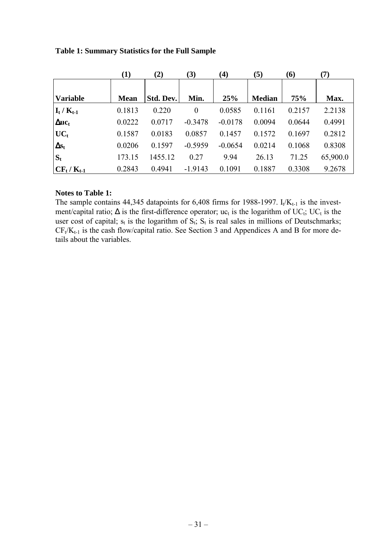|                                   | $\bf(1)$    | (2)       | (3)       | $\bf(4)$  | (5)           | (6)        | (7)      |
|-----------------------------------|-------------|-----------|-----------|-----------|---------------|------------|----------|
| <b>Variable</b>                   | <b>Mean</b> | Std. Dev. | Min.      | 25%       | <b>Median</b> | <b>75%</b> | Max.     |
|                                   |             |           |           |           |               |            |          |
| $\mathbf{I}_t / \mathbf{K}_{t-1}$ | 0.1813      | 0.220     | $\theta$  | 0.0585    | 0.1161        | 0.2157     | 2.2138   |
| $\Delta$ u $c_t$                  | 0.0222      | 0.0717    | $-0.3478$ | $-0.0178$ | 0.0094        | 0.0644     | 0.4991   |
| $UC_t$                            | 0.1587      | 0.0183    | 0.0857    | 0.1457    | 0.1572        | 0.1697     | 0.2812   |
| $\Delta s_t$                      | 0.0206      | 0.1597    | $-0.5959$ | $-0.0654$ | 0.0214        | 0.1068     | 0.8308   |
| $S_t$                             | 173.15      | 1455.12   | 0.27      | 9.94      | 26.13         | 71.25      | 65,900.0 |
| $CF_t/K_{t-1}$                    | 0.2843      | 0.4941    | $-1.9143$ | 0.1091    | 0.1887        | 0.3308     | 9.2678   |

### **Table 1: Summary Statistics for the Full Sample**

#### **Notes to Table 1:**

The sample contains 44,345 datapoints for  $6,408$  firms for 1988-1997. I<sub>t</sub>/K<sub>t-1</sub> is the investment/capital ratio;  $\Delta$  is the first-difference operator; uc<sub>t</sub> is the logarithm of UC<sub>t</sub>; UC<sub>t</sub> is the user cost of capital;  $s_t$  is the logarithm of  $S_t$ ;  $S_t$  is real sales in millions of Deutschmarks;  $CF_t/K_{t-1}$  is the cash flow/capital ratio. See Section 3 and Appendices A and B for more details about the variables.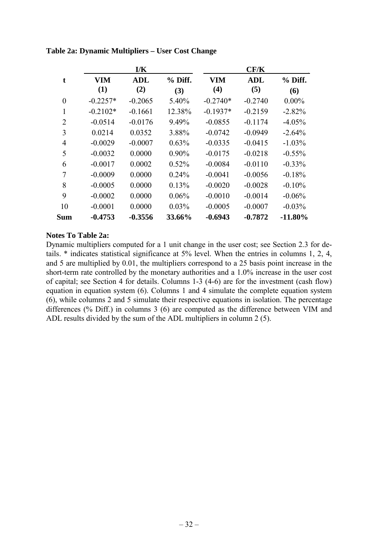|                |            | I/K        |          |            | CF/K       |            |
|----------------|------------|------------|----------|------------|------------|------------|
| t              | <b>VIM</b> | <b>ADL</b> | % Diff.  | <b>VIM</b> | <b>ADL</b> | $%$ Diff.  |
|                | (1)        | (2)        | (3)      | (4)        | (5)        | (6)        |
| $\theta$       | $-0.2257*$ | $-0.2065$  | 5.40%    | $-0.2740*$ | $-0.2740$  | $0.00\%$   |
|                | $-0.2102*$ | $-0.1661$  | 12.38%   | $-0.1937*$ | $-0.2159$  | $-2.82%$   |
| $\overline{2}$ | $-0.0514$  | $-0.0176$  | 9.49%    | $-0.0855$  | $-0.1174$  | $-4.05%$   |
| 3              | 0.0214     | 0.0352     | 3.88%    | $-0.0742$  | $-0.0949$  | $-2.64%$   |
| $\overline{4}$ | $-0.0029$  | $-0.0007$  | 0.63%    | $-0.0335$  | $-0.0415$  | $-1.03\%$  |
| 5              | $-0.0032$  | 0.0000     | $0.90\%$ | $-0.0175$  | $-0.0218$  | $-0.55\%$  |
| 6              | $-0.0017$  | 0.0002     | 0.52%    | $-0.0084$  | $-0.0110$  | $-0.33\%$  |
| 7              | $-0.0009$  | 0.0000     | 0.24%    | $-0.0041$  | $-0.0056$  | $-0.18%$   |
| 8              | $-0.0005$  | 0.0000     | 0.13%    | $-0.0020$  | $-0.0028$  | $-0.10%$   |
| 9              | $-0.0002$  | 0.0000     | 0.06%    | $-0.0010$  | $-0.0014$  | $-0.06\%$  |
| 10             | $-0.0001$  | 0.0000     | $0.03\%$ | $-0.0005$  | $-0.0007$  | $-0.03\%$  |
| <b>Sum</b>     | $-0.4753$  | $-0.3556$  | 33.66%   | $-0.6943$  | $-0.7872$  | $-11.80\%$ |

**Table 2a: Dynamic Multipliers – User Cost Change**

#### **Notes To Table 2a:**

Dynamic multipliers computed for a 1 unit change in the user cost; see Section 2.3 for details. \* indicates statistical significance at 5% level. When the entries in columns 1, 2, 4, and 5 are multiplied by 0.01, the multipliers correspond to a 25 basis point increase in the short-term rate controlled by the monetary authorities and a 1.0% increase in the user cost of capital; see Section 4 for details. Columns 1-3 (4-6) are for the investment (cash flow) equation in equation system (6). Columns 1 and 4 simulate the complete equation system (6), while columns 2 and 5 simulate their respective equations in isolation. The percentage differences (% Diff.) in columns 3 (6) are computed as the difference between VIM and ADL results divided by the sum of the ADL multipliers in column 2 (5).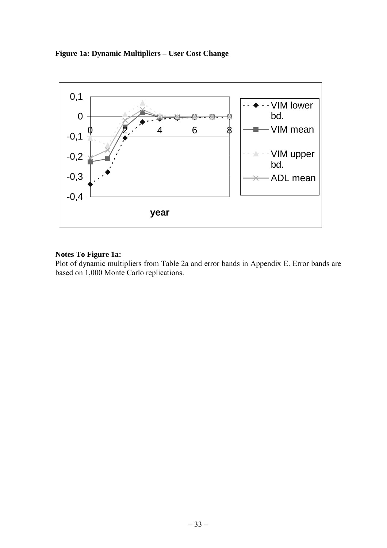### **Figure 1a: Dynamic Multipliers – User Cost Change**

![](_page_40_Figure_1.jpeg)

#### **Notes To Figure 1a:**

Plot of dynamic multipliers from Table 2a and error bands in Appendix E. Error bands are based on 1,000 Monte Carlo replications.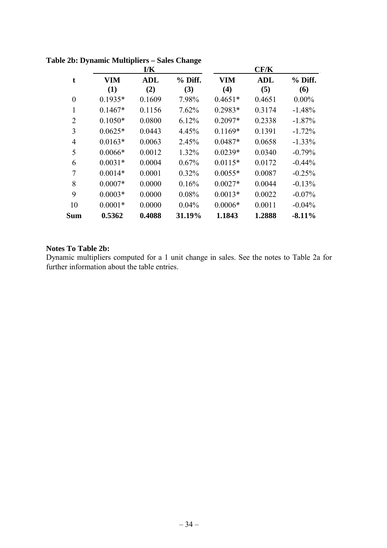|                | I/K        |            |          | CF/K       |            |           |
|----------------|------------|------------|----------|------------|------------|-----------|
| t              | <b>VIM</b> | <b>ADL</b> | % Diff.  | <b>VIM</b> | <b>ADL</b> | % Diff.   |
|                | (1)        | (2)        | (3)      | (4)        | (5)        | (6)       |
| $\theta$       | $0.1935*$  | 0.1609     | 7.98%    | $0.4651*$  | 0.4651     | $0.00\%$  |
| 1              | $0.1467*$  | 0.1156     | 7.62%    | $0.2983*$  | 0.3174     | $-1.48%$  |
| $\overline{2}$ | $0.1050*$  | 0.0800     | 6.12%    | $0.2097*$  | 0.2338     | $-1.87%$  |
| 3              | $0.0625*$  | 0.0443     | 4.45%    | $0.1169*$  | 0.1391     | $-1.72%$  |
| $\overline{4}$ | $0.0163*$  | 0.0063     | 2.45%    | $0.0487*$  | 0.0658     | $-1.33\%$ |
| 5              | $0.0066*$  | 0.0012     | 1.32%    | $0.0239*$  | 0.0340     | $-0.79%$  |
| 6              | $0.0031*$  | 0.0004     | 0.67%    | $0.0115*$  | 0.0172     | $-0.44%$  |
| 7              | $0.0014*$  | 0.0001     | 0.32%    | $0.0055*$  | 0.0087     | $-0.25%$  |
| 8              | $0.0007*$  | 0.0000     | 0.16%    | $0.0027*$  | 0.0044     | $-0.13%$  |
| 9              | $0.0003*$  | 0.0000     | 0.08%    | $0.0013*$  | 0.0022     | $-0.07\%$ |
| 10             | $0.0001*$  | 0.0000     | $0.04\%$ | $0.0006*$  | 0.0011     | $-0.04\%$ |
| <b>Sum</b>     | 0.5362     | 0.4088     | 31.19%   | 1.1843     | 1.2888     | $-8.11%$  |

**Table 2b: Dynamic Multipliers – Sales Change**

## **Notes To Table 2b:**

Dynamic multipliers computed for a 1 unit change in sales. See the notes to Table 2a for further information about the table entries.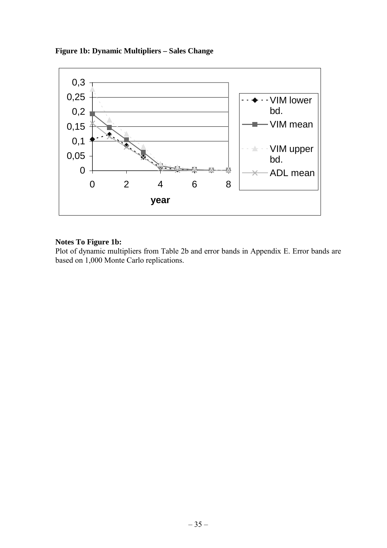![](_page_42_Figure_0.jpeg)

![](_page_42_Figure_1.jpeg)

### **Notes To Figure 1b:**

Plot of dynamic multipliers from Table 2b and error bands in Appendix E. Error bands are based on 1,000 Monte Carlo replications.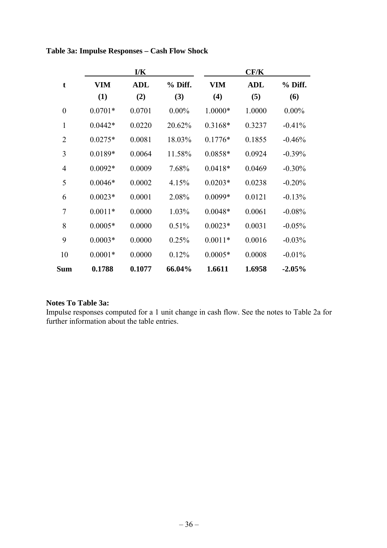|                  | $\mathbf{I}/\mathbf{K}$ |            |          | CF/K       |            |           |
|------------------|-------------------------|------------|----------|------------|------------|-----------|
| t                | VIM                     | <b>ADL</b> | % Diff.  | <b>VIM</b> | <b>ADL</b> | % Diff.   |
|                  | (1)                     | (2)        | (3)      | (4)        | (5)        | (6)       |
| $\boldsymbol{0}$ | $0.0701*$               | 0.0701     | $0.00\%$ | $1.0000*$  | 1.0000     | $0.00\%$  |
| 1                | $0.0442*$               | 0.0220     | 20.62%   | $0.3168*$  | 0.3237     | $-0.41%$  |
| $\overline{2}$   | $0.0275*$               | 0.0081     | 18.03%   | $0.1776*$  | 0.1855     | $-0.46%$  |
| 3                | $0.0189*$               | 0.0064     | 11.58%   | $0.0858*$  | 0.0924     | $-0.39%$  |
| $\overline{4}$   | $0.0092*$               | 0.0009     | 7.68%    | $0.0418*$  | 0.0469     | $-0.30%$  |
| 5                | $0.0046*$               | 0.0002     | 4.15%    | $0.0203*$  | 0.0238     | $-0.20%$  |
| 6                | $0.0023*$               | 0.0001     | 2.08%    | $0.0099*$  | 0.0121     | $-0.13%$  |
| $\overline{7}$   | $0.0011*$               | 0.0000     | 1.03%    | $0.0048*$  | 0.0061     | $-0.08%$  |
| 8                | $0.0005*$               | 0.0000     | 0.51%    | $0.0023*$  | 0.0031     | $-0.05%$  |
| 9                | $0.0003*$               | 0.0000     | 0.25%    | $0.0011*$  | 0.0016     | $-0.03%$  |
| 10               | $0.0001*$               | 0.0000     | 0.12%    | $0.0005*$  | 0.0008     | $-0.01\%$ |
| <b>Sum</b>       | 0.1788                  | 0.1077     | 66.04%   | 1.6611     | 1.6958     | $-2.05\%$ |

## **Table 3a: Impulse Responses – Cash Flow Shock**

### **Notes To Table 3a:**

Impulse responses computed for a 1 unit change in cash flow. See the notes to Table 2a for further information about the table entries.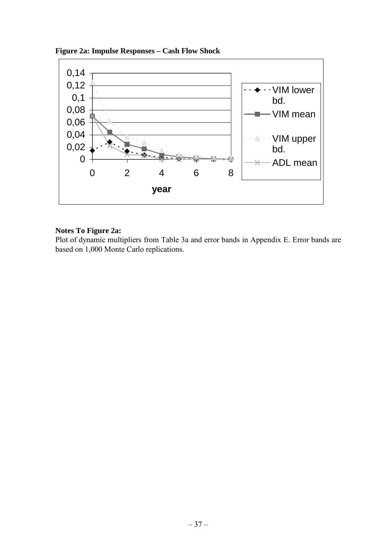![](_page_44_Figure_0.jpeg)

![](_page_44_Figure_1.jpeg)

#### **Notes To Figure 2a:**

Plot of dynamic multipliers from Table 3a and error bands in Appendix E. Error bands are based on 1,000 Monte Carlo replications.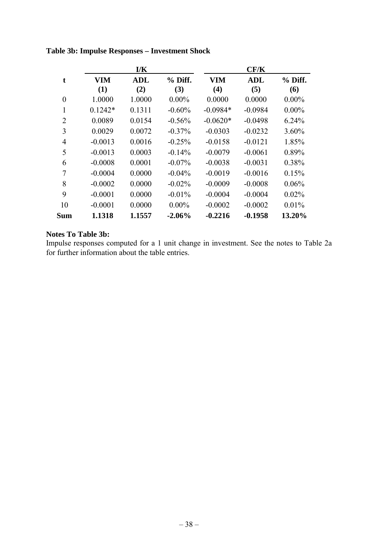|                |            | I/K        |           |            | CF/K       |           |
|----------------|------------|------------|-----------|------------|------------|-----------|
| t              | <b>VIM</b> | <b>ADL</b> | $%$ Diff. | <b>VIM</b> | <b>ADL</b> | $%$ Diff. |
|                | (1)        | (2)        | (3)       | (4)        | (5)        | (6)       |
| $\theta$       | 1.0000     | 1.0000     | $0.00\%$  | 0.0000     | 0.0000     | $0.00\%$  |
| 1              | $0.1242*$  | 0.1311     | $-0.60%$  | $-0.0984*$ | $-0.0984$  | $0.00\%$  |
| $\overline{2}$ | 0.0089     | 0.0154     | $-0.56%$  | $-0.0620*$ | $-0.0498$  | 6.24%     |
| 3              | 0.0029     | 0.0072     | $-0.37\%$ | $-0.0303$  | $-0.0232$  | 3.60%     |
| $\overline{4}$ | $-0.0013$  | 0.0016     | $-0.25%$  | $-0.0158$  | $-0.0121$  | 1.85%     |
| 5              | $-0.0013$  | 0.0003     | $-0.14%$  | $-0.0079$  | $-0.0061$  | 0.89%     |
| 6              | $-0.0008$  | 0.0001     | $-0.07\%$ | $-0.0038$  | $-0.0031$  | 0.38%     |
| 7              | $-0.0004$  | 0.0000     | $-0.04\%$ | $-0.0019$  | $-0.0016$  | 0.15%     |
| 8              | $-0.0002$  | 0.0000     | $-0.02%$  | $-0.0009$  | $-0.0008$  | 0.06%     |
| 9              | $-0.0001$  | 0.0000     | $-0.01\%$ | $-0.0004$  | $-0.0004$  | 0.02%     |
| 10             | $-0.0001$  | 0.0000     | $0.00\%$  | $-0.0002$  | $-0.0002$  | 0.01%     |
| Sum            | 1.1318     | 1.1557     | $-2.06\%$ | $-0.2216$  | $-0.1958$  | 13.20%    |

## **Table 3b: Impulse Responses – Investment Shock**

## **Notes To Table 3b:**

Impulse responses computed for a 1 unit change in investment. See the notes to Table 2a for further information about the table entries.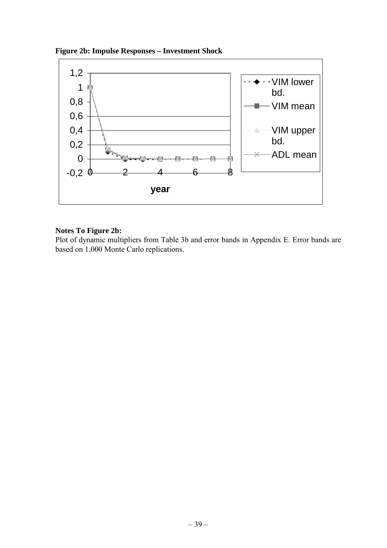![](_page_46_Figure_0.jpeg)

![](_page_46_Figure_1.jpeg)

## **Notes To Figure 2b:**

Plot of dynamic multipliers from Table 3b and error bands in Appendix E. Error bands are based on 1,000 Monte Carlo replications.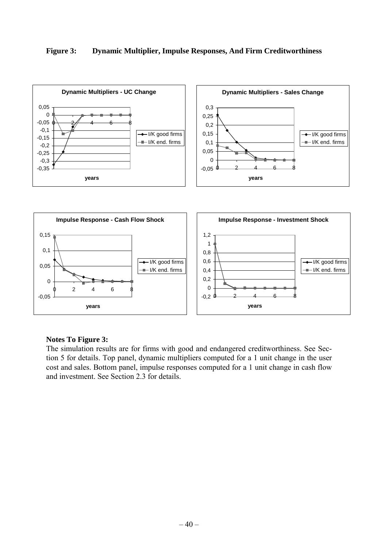#### **Figure 3: Dynamic Multiplier, Impulse Responses, And Firm Creditworthiness**

![](_page_47_Figure_1.jpeg)

#### **Notes To Figure 3:**

The simulation results are for firms with good and endangered creditworthiness. See Section 5 for details. Top panel, dynamic multipliers computed for a 1 unit change in the user cost and sales. Bottom panel, impulse responses computed for a 1 unit change in cash flow and investment. See Section 2.3 for details.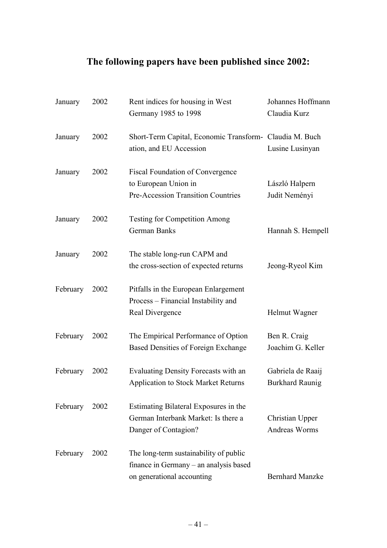## **The following papers have been published since 2002:**

| January  | 2002 | Rent indices for housing in West<br>Germany 1985 to 1998                                                       | Johannes Hoffmann<br>Claudia Kurz           |
|----------|------|----------------------------------------------------------------------------------------------------------------|---------------------------------------------|
| January  | 2002 | Short-Term Capital, Economic Transform- Claudia M. Buch<br>ation, and EU Accession                             | Lusine Lusinyan                             |
| January  | 2002 | Fiscal Foundation of Convergence<br>to European Union in<br><b>Pre-Accession Transition Countries</b>          | László Halpern<br>Judit Neményi             |
| January  | 2002 | <b>Testing for Competition Among</b><br><b>German Banks</b>                                                    | Hannah S. Hempell                           |
| January  | 2002 | The stable long-run CAPM and<br>the cross-section of expected returns                                          | Jeong-Ryeol Kim                             |
| February | 2002 | Pitfalls in the European Enlargement<br>Process – Financial Instability and<br>Real Divergence                 | Helmut Wagner                               |
| February | 2002 | The Empirical Performance of Option<br><b>Based Densities of Foreign Exchange</b>                              | Ben R. Craig<br>Joachim G. Keller           |
| February | 2002 | Evaluating Density Forecasts with an<br>Application to Stock Market Returns                                    | Gabriela de Raaij<br><b>Burkhard Raunig</b> |
| February | 2002 | Estimating Bilateral Exposures in the<br>German Interbank Market: Is there a<br>Danger of Contagion?           | Christian Upper<br><b>Andreas Worms</b>     |
| February | 2002 | The long-term sustainability of public<br>finance in Germany – an analysis based<br>on generational accounting | <b>Bernhard Manzke</b>                      |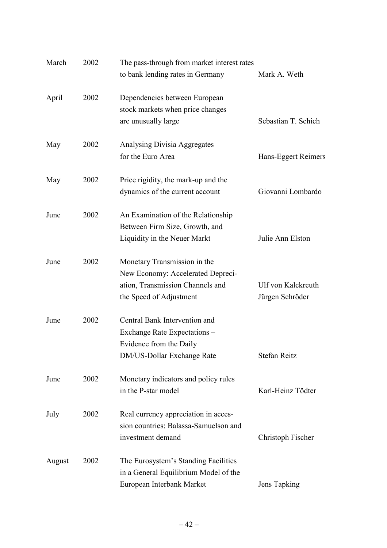| March  | 2002 | The pass-through from market interest rates<br>to bank lending rates in Germany                                                  | Mark A. Weth                          |
|--------|------|----------------------------------------------------------------------------------------------------------------------------------|---------------------------------------|
| April  | 2002 | Dependencies between European<br>stock markets when price changes<br>are unusually large                                         | Sebastian T. Schich                   |
| May    | 2002 | Analysing Divisia Aggregates<br>for the Euro Area                                                                                | Hans-Eggert Reimers                   |
| May    | 2002 | Price rigidity, the mark-up and the<br>dynamics of the current account                                                           | Giovanni Lombardo                     |
| June   | 2002 | An Examination of the Relationship<br>Between Firm Size, Growth, and<br>Liquidity in the Neuer Markt                             | Julie Ann Elston                      |
| June   | 2002 | Monetary Transmission in the<br>New Economy: Accelerated Depreci-<br>ation, Transmission Channels and<br>the Speed of Adjustment | Ulf von Kalckreuth<br>Jürgen Schröder |
| June   | 2002 | Central Bank Intervention and<br>Exchange Rate Expectations –<br>Evidence from the Daily<br>DM/US-Dollar Exchange Rate           | Stefan Reitz                          |
| June   | 2002 | Monetary indicators and policy rules<br>in the P-star model                                                                      | Karl-Heinz Tödter                     |
| July   | 2002 | Real currency appreciation in acces-<br>sion countries: Balassa-Samuelson and<br>investment demand                               | Christoph Fischer                     |
| August | 2002 | The Eurosystem's Standing Facilities<br>in a General Equilibrium Model of the<br>European Interbank Market                       | Jens Tapking                          |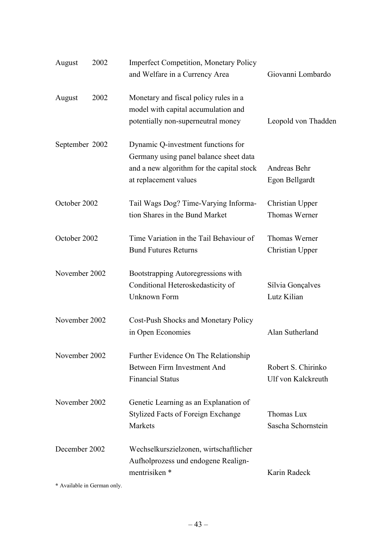| August         | 2002 | <b>Imperfect Competition, Monetary Policy</b><br>and Welfare in a Currency Area                                                                    | Giovanni Lombardo                        |
|----------------|------|----------------------------------------------------------------------------------------------------------------------------------------------------|------------------------------------------|
| August         | 2002 | Monetary and fiscal policy rules in a<br>model with capital accumulation and<br>potentially non-superneutral money                                 | Leopold von Thadden                      |
| September 2002 |      | Dynamic Q-investment functions for<br>Germany using panel balance sheet data<br>and a new algorithm for the capital stock<br>at replacement values | Andreas Behr<br>Egon Bellgardt           |
| October 2002   |      | Tail Wags Dog? Time-Varying Informa-<br>tion Shares in the Bund Market                                                                             | Christian Upper<br>Thomas Werner         |
| October 2002   |      | Time Variation in the Tail Behaviour of<br><b>Bund Futures Returns</b>                                                                             | Thomas Werner<br>Christian Upper         |
| November 2002  |      | Bootstrapping Autoregressions with<br>Conditional Heteroskedasticity of<br><b>Unknown Form</b>                                                     | Sílvia Gonçalves<br>Lutz Kilian          |
| November 2002  |      | Cost-Push Shocks and Monetary Policy<br>in Open Economies                                                                                          | Alan Sutherland                          |
| November 2002  |      | Further Evidence On The Relationship<br>Between Firm Investment And<br><b>Financial Status</b>                                                     | Robert S. Chirinko<br>Ulf von Kalckreuth |
| November 2002  |      | Genetic Learning as an Explanation of<br><b>Stylized Facts of Foreign Exchange</b><br>Markets                                                      | Thomas Lux<br>Sascha Schornstein         |
| December 2002  |      | Wechselkurszielzonen, wirtschaftlicher<br>Aufholprozess und endogene Realign-<br>mentrisiken *                                                     | Karin Radeck                             |

**\*** Available in German only.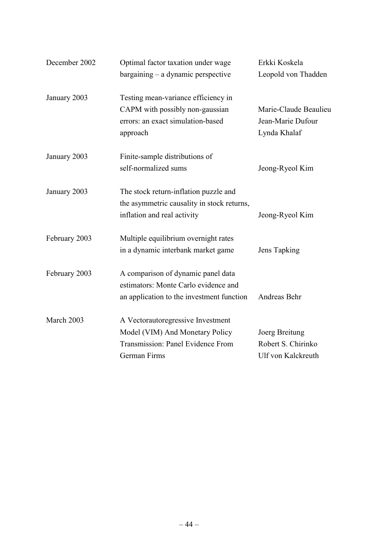| December 2002 | Optimal factor taxation under wage<br>$bargaining - a dynamic perspective$                                                | Erkki Koskela<br>Leopold von Thadden                       |
|---------------|---------------------------------------------------------------------------------------------------------------------------|------------------------------------------------------------|
| January 2003  | Testing mean-variance efficiency in<br>CAPM with possibly non-gaussian                                                    | Marie-Claude Beaulieu                                      |
|               | errors: an exact simulation-based<br>approach                                                                             | Jean-Marie Dufour<br>Lynda Khalaf                          |
| January 2003  | Finite-sample distributions of<br>self-normalized sums                                                                    | Jeong-Ryeol Kim                                            |
| January 2003  | The stock return-inflation puzzle and<br>the asymmetric causality in stock returns,<br>inflation and real activity        | Jeong-Ryeol Kim                                            |
| February 2003 | Multiple equilibrium overnight rates<br>in a dynamic interbank market game                                                | Jens Tapking                                               |
| February 2003 | A comparison of dynamic panel data<br>estimators: Monte Carlo evidence and<br>an application to the investment function   | Andreas Behr                                               |
| March 2003    | A Vectorautoregressive Investment<br>Model (VIM) And Monetary Policy<br>Transmission: Panel Evidence From<br>German Firms | Joerg Breitung<br>Robert S. Chirinko<br>Ulf von Kalckreuth |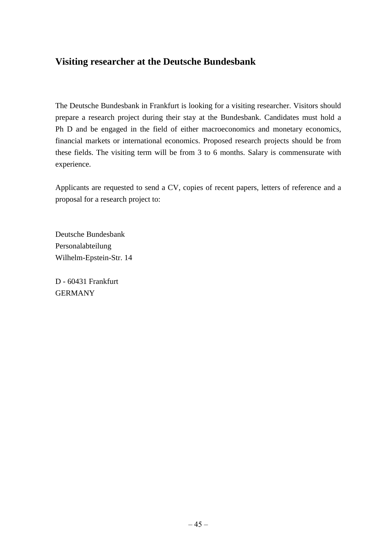## **Visiting researcher at the Deutsche Bundesbank**

The Deutsche Bundesbank in Frankfurt is looking for a visiting researcher. Visitors should prepare a research project during their stay at the Bundesbank. Candidates must hold a Ph D and be engaged in the field of either macroeconomics and monetary economics, financial markets or international economics. Proposed research projects should be from these fields. The visiting term will be from 3 to 6 months. Salary is commensurate with experience.

Applicants are requested to send a CV, copies of recent papers, letters of reference and a proposal for a research project to:

Deutsche Bundesbank Personalabteilung Wilhelm-Epstein-Str. 14

D - 60431 Frankfurt GERMANY